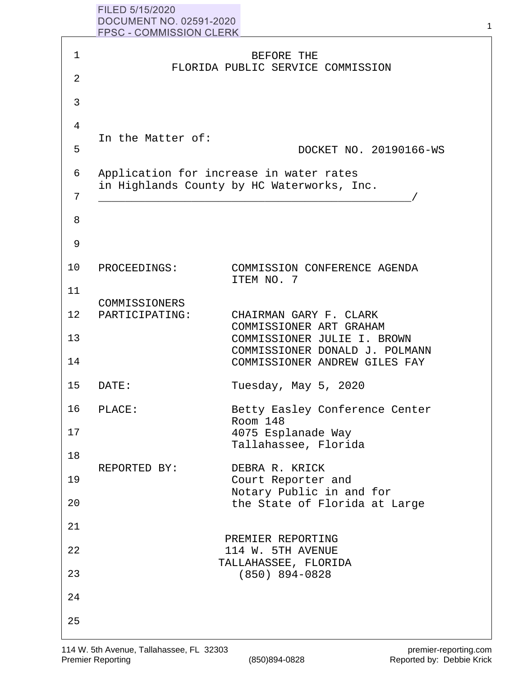| FILED 5/15/2020                |  |
|--------------------------------|--|
| DOCUMENT NO. 02591-2020        |  |
| <b>FPSC - COMMISSION CLERK</b> |  |
|                                |  |

|                | <b>FPSC - COMMISSION CLERK</b>                                                        |                                                               |  |
|----------------|---------------------------------------------------------------------------------------|---------------------------------------------------------------|--|
| 1              |                                                                                       | BEFORE THE<br>FLORIDA PUBLIC SERVICE COMMISSION               |  |
| $\overline{2}$ |                                                                                       |                                                               |  |
| 3              |                                                                                       |                                                               |  |
| 4              | In the Matter of:                                                                     |                                                               |  |
| 5              |                                                                                       | DOCKET NO. 20190166-WS                                        |  |
| 6              | Application for increase in water rates<br>in Highlands County by HC Waterworks, Inc. |                                                               |  |
| 7              |                                                                                       |                                                               |  |
| 8              |                                                                                       |                                                               |  |
| 9              |                                                                                       |                                                               |  |
| 10             | PROCEEDINGS:                                                                          | COMMISSION CONFERENCE AGENDA<br>ITEM NO. 7                    |  |
| 11             | COMMISSIONERS                                                                         |                                                               |  |
| 12             | PARTICIPATING:                                                                        | CHAIRMAN GARY F. CLARK<br>COMMISSIONER ART GRAHAM             |  |
| 13             |                                                                                       | COMMISSIONER JULIE I. BROWN<br>COMMISSIONER DONALD J. POLMANN |  |
| 14             |                                                                                       | COMMISSIONER ANDREW GILES FAY                                 |  |
| 15             | DATE:                                                                                 | Tuesday, May 5, 2020                                          |  |
| 16             | PLACE:                                                                                | Betty Easley Conference Center<br>Room 148                    |  |
| 17             |                                                                                       | 4075 Esplanade Way<br>Tallahassee, Florida                    |  |
| 18             | REPORTED BY:                                                                          | DEBRA R. KRICK                                                |  |
| 19             |                                                                                       | Court Reporter and<br>Notary Public in and for                |  |
| 20             |                                                                                       | the State of Florida at Large                                 |  |
| 21             |                                                                                       | PREMIER REPORTING                                             |  |
| 22             |                                                                                       | 114 W. 5TH AVENUE<br>TALLAHASSEE, FLORIDA                     |  |
| 23             |                                                                                       | $(850)$ 894-0828                                              |  |
| 24             |                                                                                       |                                                               |  |
| 25             |                                                                                       |                                                               |  |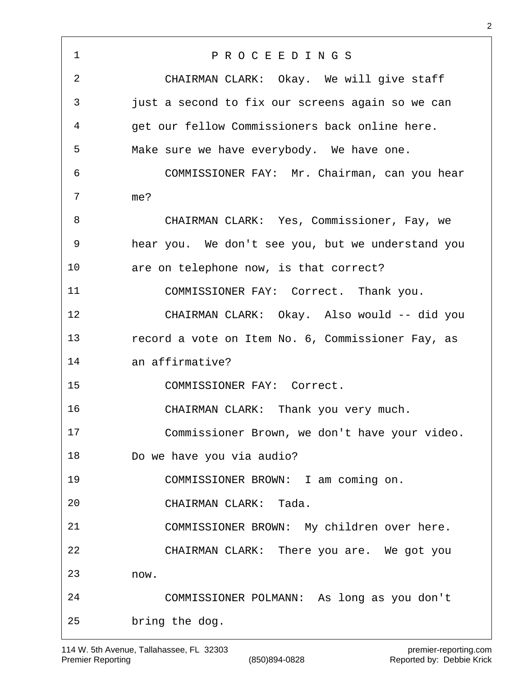P R O C E E D I N G S CHAIRMAN CLARK: Okay. We will give staff just a second to fix our screens again so we can get our fellow Commissioners back online here. Make sure we have everybody. We have one. COMMISSIONER FAY: Mr. Chairman, can you hear me? CHAIRMAN CLARK: Yes, Commissioner, Fay, we hear you. We don't see you, but we understand you are on telephone now, is that correct? COMMISSIONER FAY: Correct. Thank you. CHAIRMAN CLARK: Okay. Also would -- did you record a vote on Item No. 6, Commissioner Fay, as an affirmative? COMMISSIONER FAY: Correct. CHAIRMAN CLARK: Thank you very much. Commissioner Brown, we don't have your video. Do we have you via audio? COMMISSIONER BROWN: I am coming on. CHAIRMAN CLARK: Tada. COMMISSIONER BROWN: My children over here. CHAIRMAN CLARK: There you are. We got you now. COMMISSIONER POLMANN: As long as you don't bring the dog.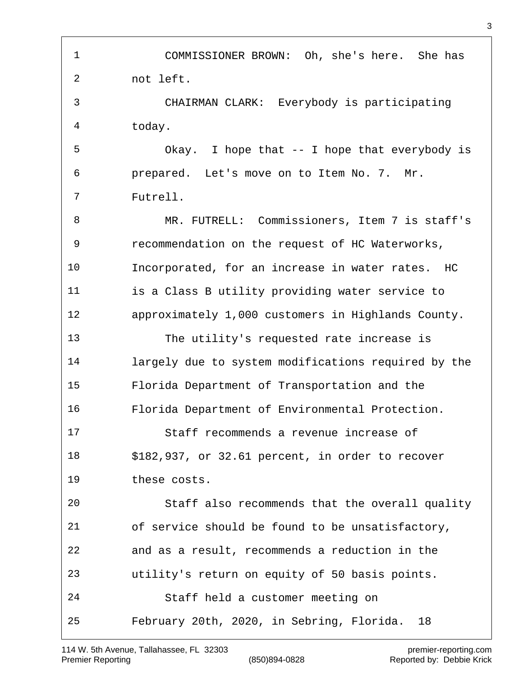COMMISSIONER BROWN: Oh, she's here. She has not left. CHAIRMAN CLARK: Everybody is participating today. Okay. I hope that -- I hope that everybody is prepared. Let's move on to Item No. 7. Mr. Futrell. MR. FUTRELL: Commissioners, Item 7 is staff's recommendation on the request of HC Waterworks, Incorporated, for an increase in water rates. HC is a Class B utility providing water service to approximately 1,000 customers in Highlands County. The utility's requested rate increase is largely due to system modifications required by the Florida Department of Transportation and the Florida Department of Environmental Protection. Staff recommends a revenue increase of \$182,937, or 32.61 percent, in order to recover these costs. Staff also recommends that the overall quality of service should be found to be unsatisfactory, and as a result, recommends a reduction in the utility's return on equity of 50 basis points. Staff held a customer meeting on February 20th, 2020, in Sebring, Florida. 18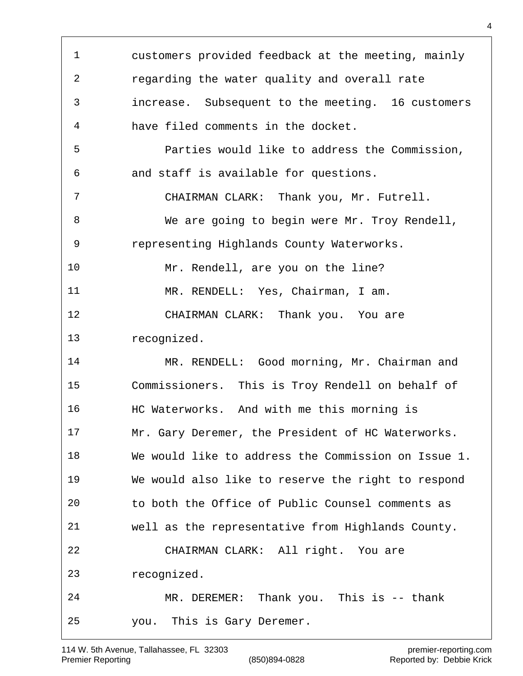customers provided feedback at the meeting, mainly regarding the water quality and overall rate increase. Subsequent to the meeting. 16 customers have filed comments in the docket. Parties would like to address the Commission, and staff is available for questions. CHAIRMAN CLARK: Thank you, Mr. Futrell. We are going to begin were Mr. Troy Rendell, representing Highlands County Waterworks. Mr. Rendell, are you on the line? MR. RENDELL: Yes, Chairman, I am. CHAIRMAN CLARK: Thank you. You are recognized. MR. RENDELL: Good morning, Mr. Chairman and Commissioners. This is Troy Rendell on behalf of HC Waterworks. And with me this morning is Mr. Gary Deremer, the President of HC Waterworks. We would like to address the Commission on Issue 1. We would also like to reserve the right to respond to both the Office of Public Counsel comments as well as the representative from Highlands County. CHAIRMAN CLARK: All right. You are recognized. MR. DEREMER: Thank you. This is -- thank you. This is Gary Deremer.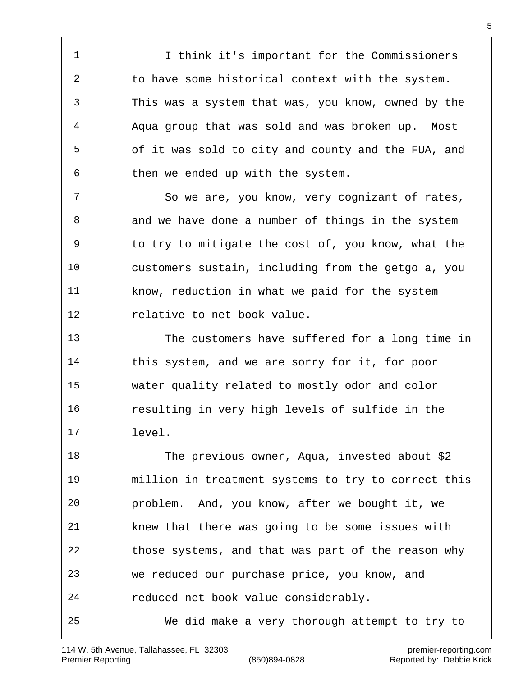I think it's important for the Commissioners to have some historical context with the system. This was a system that was, you know, owned by the Aqua group that was sold and was broken up. Most of it was sold to city and county and the FUA, and then we ended up with the system.

 So we are, you know, very cognizant of rates, and we have done a number of things in the system to try to mitigate the cost of, you know, what the customers sustain, including from the getgo a, you know, reduction in what we paid for the system relative to net book value.

 The customers have suffered for a long time in this system, and we are sorry for it, for poor water quality related to mostly odor and color resulting in very high levels of sulfide in the level.

 The previous owner, Aqua, invested about \$2 million in treatment systems to try to correct this problem. And, you know, after we bought it, we knew that there was going to be some issues with those systems, and that was part of the reason why we reduced our purchase price, you know, and reduced net book value considerably. We did make a very thorough attempt to try to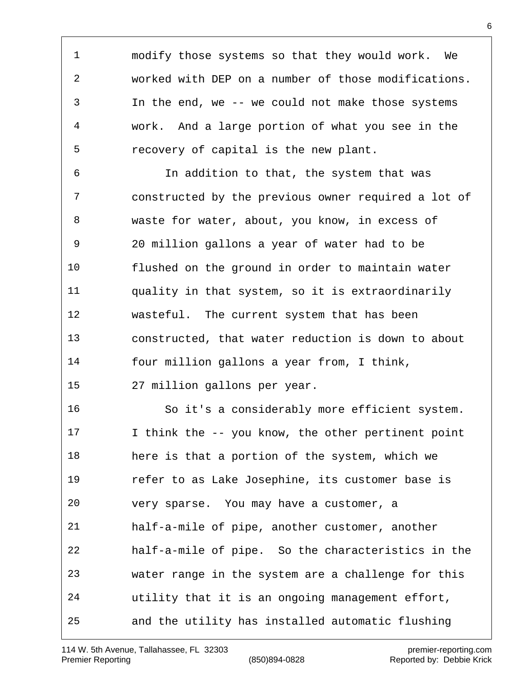modify those systems so that they would work. We worked with DEP on a number of those modifications. In the end, we -- we could not make those systems work. And a large portion of what you see in the recovery of capital is the new plant.

 In addition to that, the system that was constructed by the previous owner required a lot of waste for water, about, you know, in excess of 20 million gallons a year of water had to be flushed on the ground in order to maintain water quality in that system, so it is extraordinarily wasteful. The current system that has been constructed, that water reduction is down to about four million gallons a year from, I think, 27 million gallons per year.

 So it's a considerably more efficient system. I think the -- you know, the other pertinent point here is that a portion of the system, which we refer to as Lake Josephine, its customer base is very sparse. You may have a customer, a half-a-mile of pipe, another customer, another half-a-mile of pipe. So the characteristics in the water range in the system are a challenge for this utility that it is an ongoing management effort, and the utility has installed automatic flushing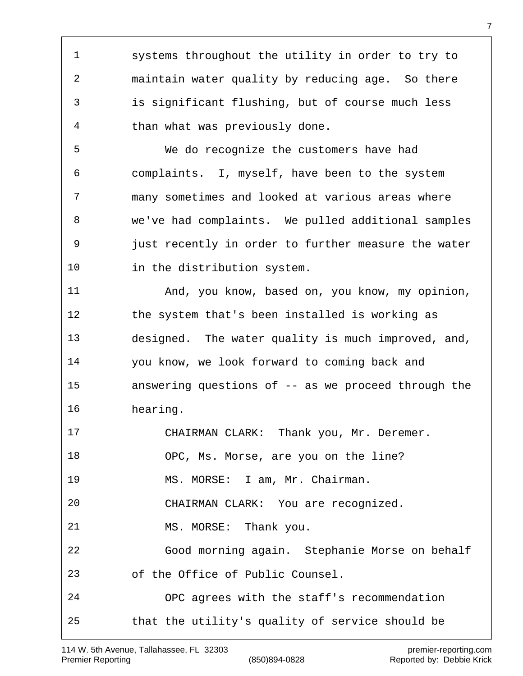systems throughout the utility in order to try to maintain water quality by reducing age. So there is significant flushing, but of course much less than what was previously done. We do recognize the customers have had complaints. I, myself, have been to the system many sometimes and looked at various areas where we've had complaints. We pulled additional samples just recently in order to further measure the water in the distribution system. 11 And, you know, based on, you know, my opinion, the system that's been installed is working as designed. The water quality is much improved, and, you know, we look forward to coming back and answering questions of -- as we proceed through the hearing. CHAIRMAN CLARK: Thank you, Mr. Deremer. OPC, Ms. Morse, are you on the line? MS. MORSE: I am, Mr. Chairman. CHAIRMAN CLARK: You are recognized. 21 MS. MORSE: Thank you. Good morning again. Stephanie Morse on behalf of the Office of Public Counsel. OPC agrees with the staff's recommendation that the utility's quality of service should be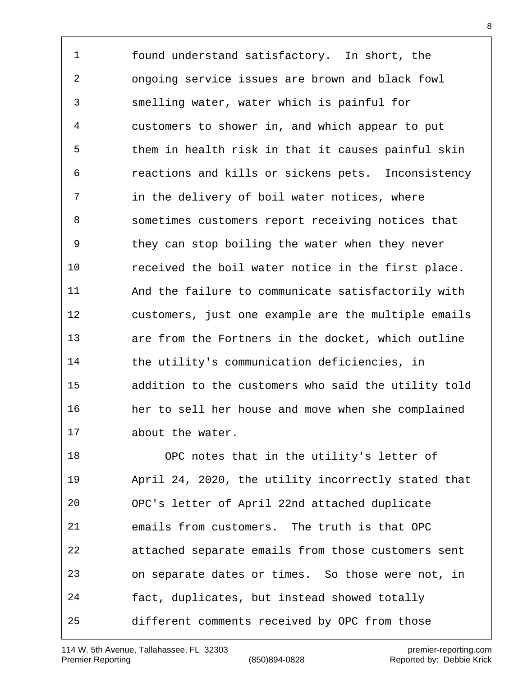found understand satisfactory. In short, the ongoing service issues are brown and black fowl smelling water, water which is painful for customers to shower in, and which appear to put them in health risk in that it causes painful skin reactions and kills or sickens pets. Inconsistency in the delivery of boil water notices, where sometimes customers report receiving notices that they can stop boiling the water when they never received the boil water notice in the first place. And the failure to communicate satisfactorily with customers, just one example are the multiple emails are from the Fortners in the docket, which outline the utility's communication deficiencies, in addition to the customers who said the utility told her to sell her house and move when she complained about the water.

 OPC notes that in the utility's letter of April 24, 2020, the utility incorrectly stated that OPC's letter of April 22nd attached duplicate emails from customers. The truth is that OPC attached separate emails from those customers sent on separate dates or times. So those were not, in fact, duplicates, but instead showed totally different comments received by OPC from those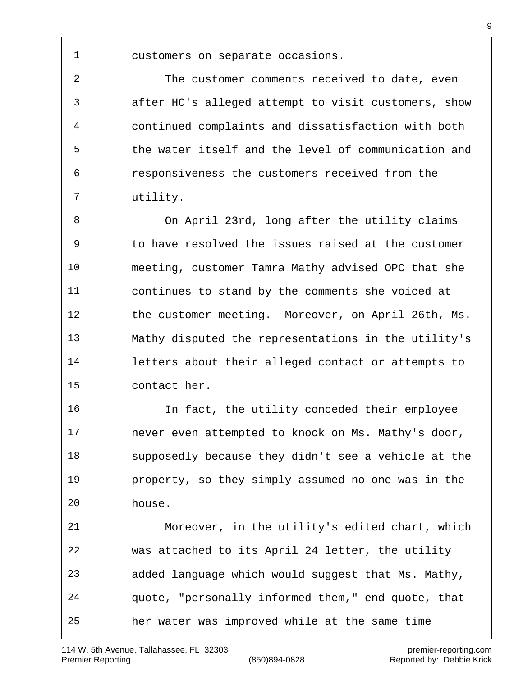customers on separate occasions.

 The customer comments received to date, even after HC's alleged attempt to visit customers, show continued complaints and dissatisfaction with both the water itself and the level of communication and responsiveness the customers received from the utility.

 On April 23rd, long after the utility claims to have resolved the issues raised at the customer meeting, customer Tamra Mathy advised OPC that she continues to stand by the comments she voiced at the customer meeting. Moreover, on April 26th, Ms. Mathy disputed the representations in the utility's letters about their alleged contact or attempts to contact her.

 In fact, the utility conceded their employee never even attempted to knock on Ms. Mathy's door, supposedly because they didn't see a vehicle at the property, so they simply assumed no one was in the house.

 Moreover, in the utility's edited chart, which was attached to its April 24 letter, the utility added language which would suggest that Ms. Mathy, quote, "personally informed them," end quote, that her water was improved while at the same time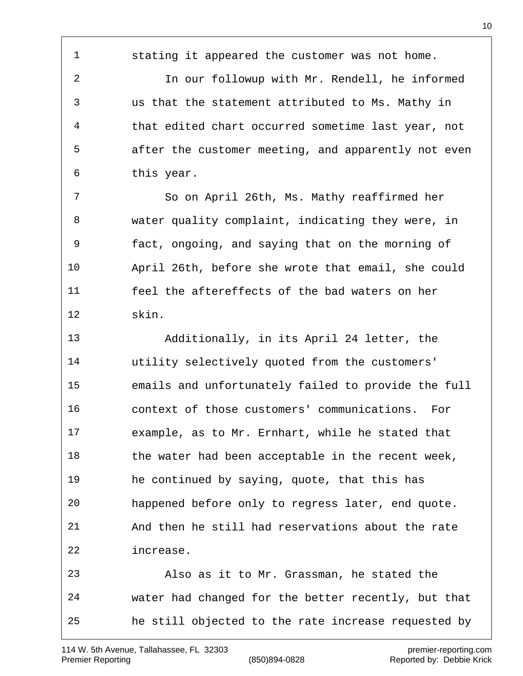stating it appeared the customer was not home.

 In our followup with Mr. Rendell, he informed us that the statement attributed to Ms. Mathy in that edited chart occurred sometime last year, not after the customer meeting, and apparently not even this year.

 So on April 26th, Ms. Mathy reaffirmed her water quality complaint, indicating they were, in fact, ongoing, and saying that on the morning of April 26th, before she wrote that email, she could feel the aftereffects of the bad waters on her skin.

 Additionally, in its April 24 letter, the utility selectively quoted from the customers' emails and unfortunately failed to provide the full context of those customers' communications. For example, as to Mr. Ernhart, while he stated that 18 the water had been acceptable in the recent week, he continued by saying, quote, that this has happened before only to regress later, end quote. And then he still had reservations about the rate increase. Also as it to Mr. Grassman, he stated the water had changed for the better recently, but that

he still objected to the rate increase requested by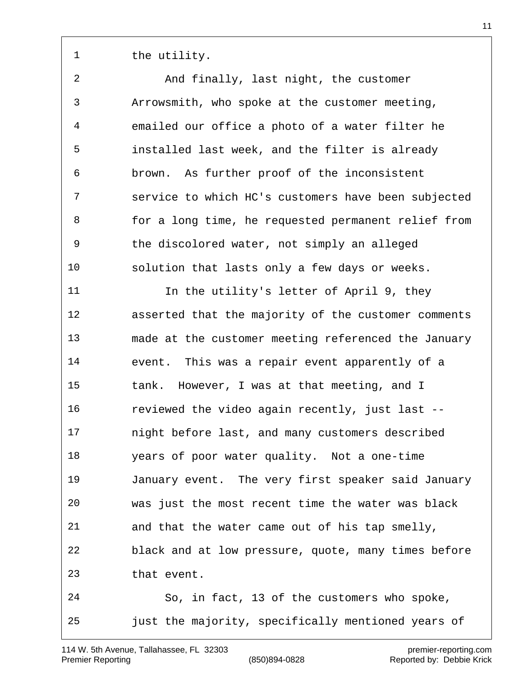1 the utility.

 And finally, last night, the customer Arrowsmith, who spoke at the customer meeting, emailed our office a photo of a water filter he installed last week, and the filter is already brown. As further proof of the inconsistent service to which HC's customers have been subjected for a long time, he requested permanent relief from the discolored water, not simply an alleged solution that lasts only a few days or weeks. In the utility's letter of April 9, they asserted that the majority of the customer comments made at the customer meeting referenced the January event. This was a repair event apparently of a tank. However, I was at that meeting, and I reviewed the video again recently, just last -- night before last, and many customers described years of poor water quality. Not a one-time January event. The very first speaker said January was just the most recent time the water was black and that the water came out of his tap smelly, black and at low pressure, quote, many times before that event. So, in fact, 13 of the customers who spoke, just the majority, specifically mentioned years of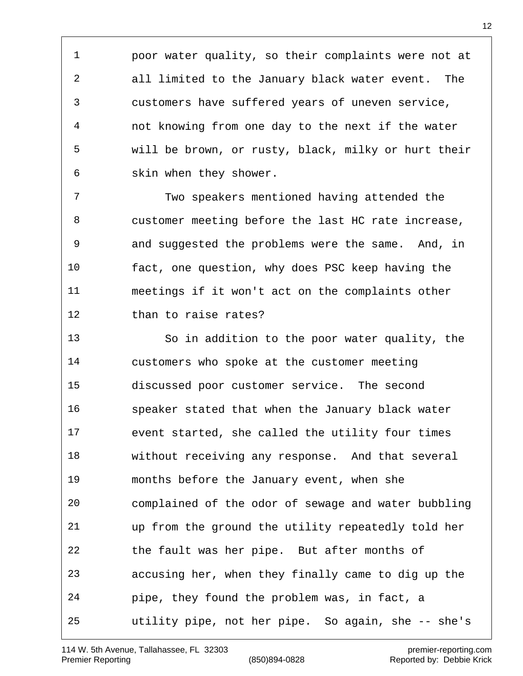poor water quality, so their complaints were not at all limited to the January black water event. The customers have suffered years of uneven service, not knowing from one day to the next if the water will be brown, or rusty, black, milky or hurt their skin when they shower.

 Two speakers mentioned having attended the customer meeting before the last HC rate increase, and suggested the problems were the same. And, in fact, one question, why does PSC keep having the meetings if it won't act on the complaints other than to raise rates?

 So in addition to the poor water quality, the customers who spoke at the customer meeting discussed poor customer service. The second speaker stated that when the January black water event started, she called the utility four times without receiving any response. And that several months before the January event, when she complained of the odor of sewage and water bubbling up from the ground the utility repeatedly told her the fault was her pipe. But after months of accusing her, when they finally came to dig up the pipe, they found the problem was, in fact, a utility pipe, not her pipe. So again, she -- she's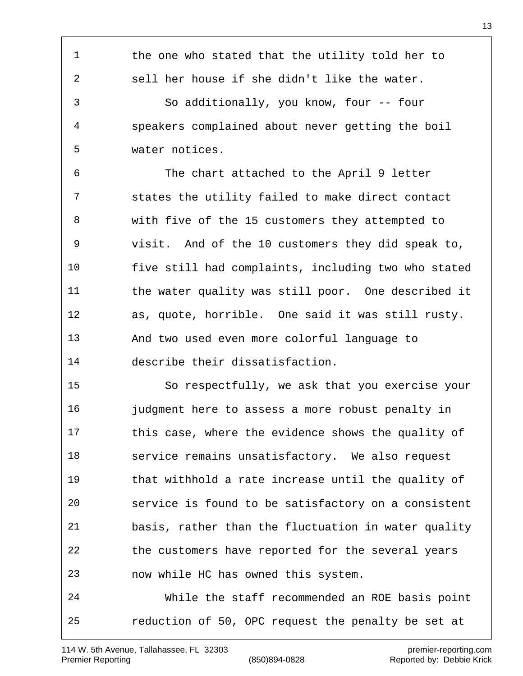1 the one who stated that the utility told her to sell her house if she didn't like the water. So additionally, you know, four -- four speakers complained about never getting the boil water notices. The chart attached to the April 9 letter states the utility failed to make direct contact with five of the 15 customers they attempted to visit. And of the 10 customers they did speak to, five still had complaints, including two who stated the water quality was still poor. One described it as, quote, horrible. One said it was still rusty. And two used even more colorful language to describe their dissatisfaction. So respectfully, we ask that you exercise your **judgment here to assess a more robust penalty in**  this case, where the evidence shows the quality of service remains unsatisfactory. We also request that withhold a rate increase until the quality of service is found to be satisfactory on a consistent basis, rather than the fluctuation in water quality the customers have reported for the several years now while HC has owned this system. While the staff recommended an ROE basis point reduction of 50, OPC request the penalty be set at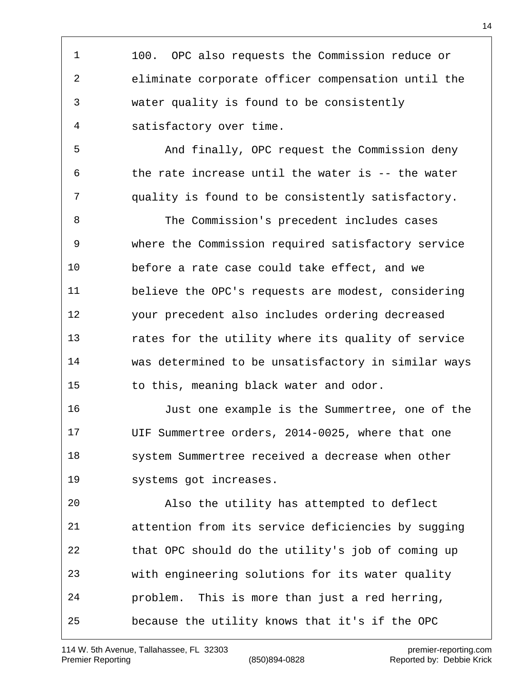100. OPC also requests the Commission reduce or eliminate corporate officer compensation until the water quality is found to be consistently satisfactory over time.

 And finally, OPC request the Commission deny the rate increase until the water is -- the water quality is found to be consistently satisfactory.

 The Commission's precedent includes cases where the Commission required satisfactory service before a rate case could take effect, and we believe the OPC's requests are modest, considering your precedent also includes ordering decreased rates for the utility where its quality of service was determined to be unsatisfactory in similar ways to this, meaning black water and odor.

 Just one example is the Summertree, one of the UIF Summertree orders, 2014-0025, where that one system Summertree received a decrease when other systems got increases.

 Also the utility has attempted to deflect attention from its service deficiencies by sugging that OPC should do the utility's job of coming up with engineering solutions for its water quality problem. This is more than just a red herring, because the utility knows that it's if the OPC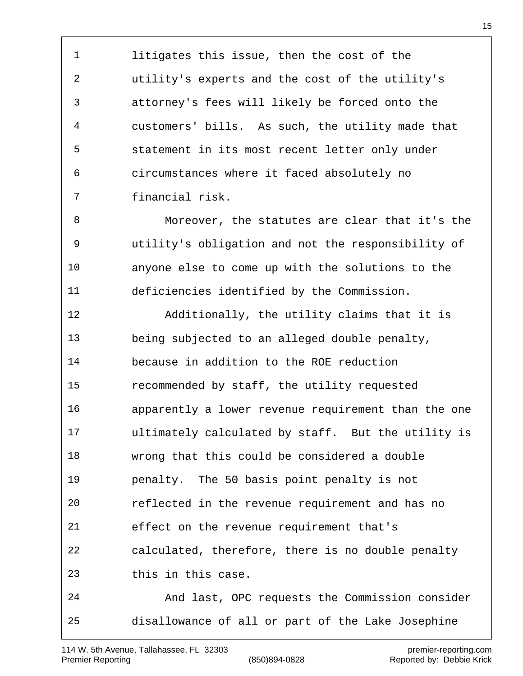litigates this issue, then the cost of the utility's experts and the cost of the utility's attorney's fees will likely be forced onto the customers' bills. As such, the utility made that statement in its most recent letter only under circumstances where it faced absolutely no financial risk.

 Moreover, the statutes are clear that it's the utility's obligation and not the responsibility of anyone else to come up with the solutions to the deficiencies identified by the Commission.

 Additionally, the utility claims that it is being subjected to an alleged double penalty, because in addition to the ROE reduction recommended by staff, the utility requested apparently a lower revenue requirement than the one ultimately calculated by staff. But the utility is wrong that this could be considered a double penalty. The 50 basis point penalty is not reflected in the revenue requirement and has no effect on the revenue requirement that's calculated, therefore, there is no double penalty this in this case.

 And last, OPC requests the Commission consider disallowance of all or part of the Lake Josephine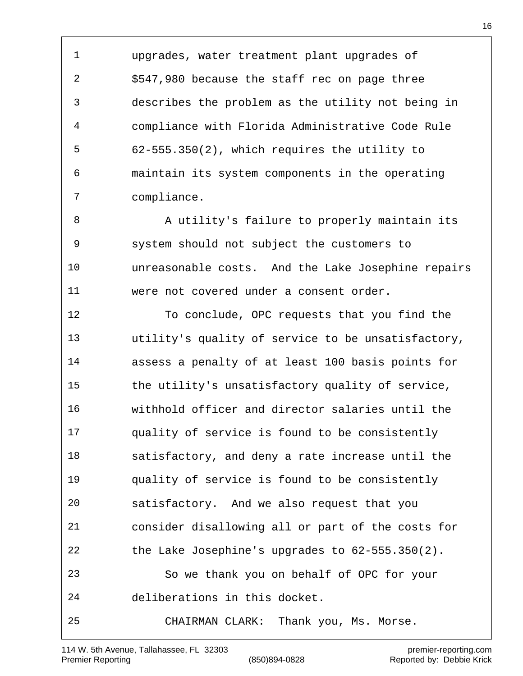upgrades, water treatment plant upgrades of \$547,980 because the staff rec on page three describes the problem as the utility not being in compliance with Florida Administrative Code Rule 62-555.350(2), which requires the utility to maintain its system components in the operating compliance.

8 A utility's failure to properly maintain its system should not subject the customers to unreasonable costs. And the Lake Josephine repairs were not covered under a consent order.

 To conclude, OPC requests that you find the utility's quality of service to be unsatisfactory, assess a penalty of at least 100 basis points for the utility's unsatisfactory quality of service, withhold officer and director salaries until the quality of service is found to be consistently satisfactory, and deny a rate increase until the quality of service is found to be consistently satisfactory. And we also request that you consider disallowing all or part of the costs for the Lake Josephine's upgrades to 62-555.350(2). So we thank you on behalf of OPC for your deliberations in this docket. CHAIRMAN CLARK: Thank you, Ms. Morse.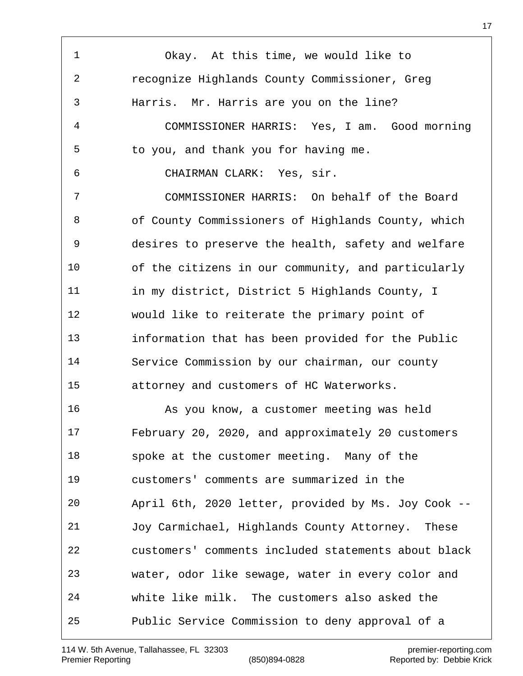Okay. At this time, we would like to recognize Highlands County Commissioner, Greg Harris. Mr. Harris are you on the line? COMMISSIONER HARRIS: Yes, I am. Good morning to you, and thank you for having me. CHAIRMAN CLARK: Yes, sir. COMMISSIONER HARRIS: On behalf of the Board of County Commissioners of Highlands County, which desires to preserve the health, safety and welfare of the citizens in our community, and particularly in my district, District 5 Highlands County, I would like to reiterate the primary point of information that has been provided for the Public Service Commission by our chairman, our county attorney and customers of HC Waterworks. As you know, a customer meeting was held February 20, 2020, and approximately 20 customers spoke at the customer meeting. Many of the customers' comments are summarized in the April 6th, 2020 letter, provided by Ms. Joy Cook -- Joy Carmichael, Highlands County Attorney. These customers' comments included statements about black water, odor like sewage, water in every color and white like milk. The customers also asked the Public Service Commission to deny approval of a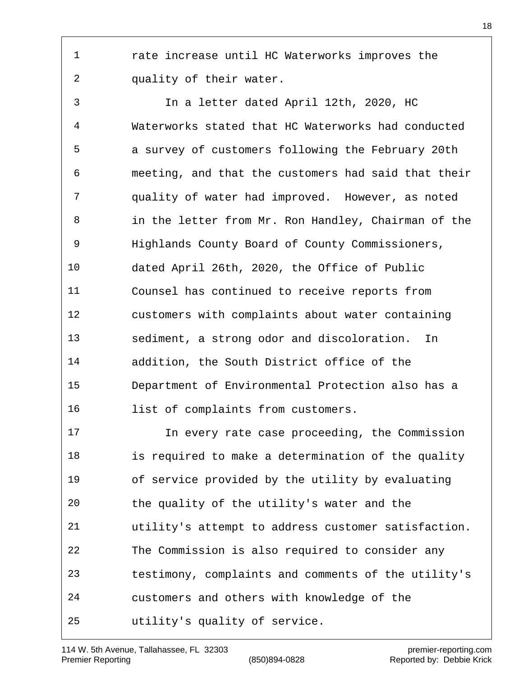rate increase until HC Waterworks improves the quality of their water.

 In a letter dated April 12th, 2020, HC Waterworks stated that HC Waterworks had conducted a survey of customers following the February 20th meeting, and that the customers had said that their quality of water had improved. However, as noted in the letter from Mr. Ron Handley, Chairman of the Highlands County Board of County Commissioners, dated April 26th, 2020, the Office of Public Counsel has continued to receive reports from customers with complaints about water containing sediment, a strong odor and discoloration. In addition, the South District office of the Department of Environmental Protection also has a 16 list of complaints from customers.

 In every rate case proceeding, the Commission is required to make a determination of the quality of service provided by the utility by evaluating the quality of the utility's water and the utility's attempt to address customer satisfaction. The Commission is also required to consider any testimony, complaints and comments of the utility's customers and others with knowledge of the utility's quality of service.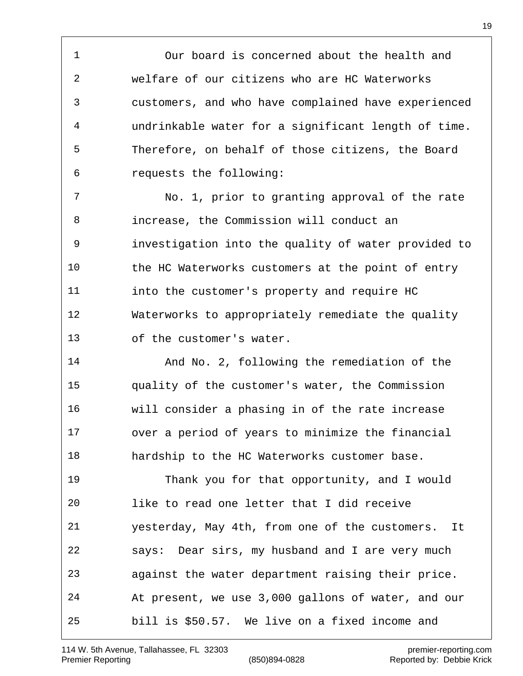Our board is concerned about the health and welfare of our citizens who are HC Waterworks customers, and who have complained have experienced undrinkable water for a significant length of time. Therefore, on behalf of those citizens, the Board requests the following:

 No. 1, prior to granting approval of the rate increase, the Commission will conduct an investigation into the quality of water provided to the HC Waterworks customers at the point of entry into the customer's property and require HC Waterworks to appropriately remediate the quality of the customer's water.

 And No. 2, following the remediation of the quality of the customer's water, the Commission will consider a phasing in of the rate increase over a period of years to minimize the financial hardship to the HC Waterworks customer base.

 Thank you for that opportunity, and I would like to read one letter that I did receive yesterday, May 4th, from one of the customers. It says: Dear sirs, my husband and I are very much against the water department raising their price. At present, we use 3,000 gallons of water, and our bill is \$50.57. We live on a fixed income and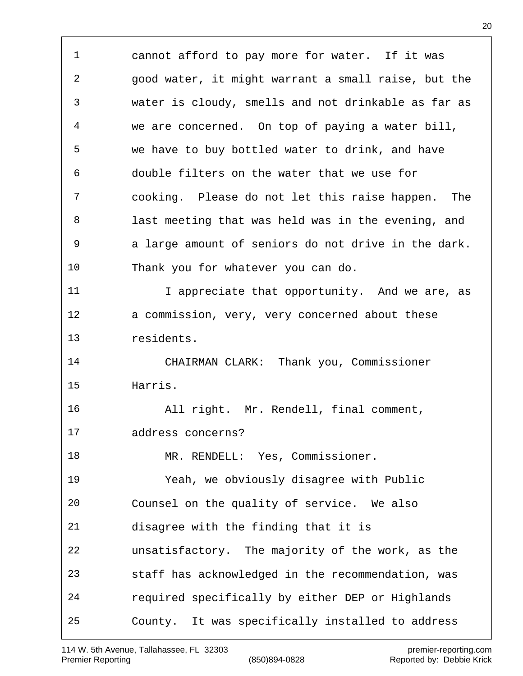cannot afford to pay more for water. If it was good water, it might warrant a small raise, but the water is cloudy, smells and not drinkable as far as we are concerned. On top of paying a water bill, we have to buy bottled water to drink, and have double filters on the water that we use for cooking. Please do not let this raise happen. The last meeting that was held was in the evening, and a large amount of seniors do not drive in the dark. Thank you for whatever you can do. I appreciate that opportunity. And we are, as a commission, very, very concerned about these residents. CHAIRMAN CLARK: Thank you, Commissioner Harris. All right. Mr. Rendell, final comment, address concerns? 18 MR. RENDELL: Yes, Commissioner. Yeah, we obviously disagree with Public Counsel on the quality of service. We also disagree with the finding that it is unsatisfactory. The majority of the work, as the staff has acknowledged in the recommendation, was required specifically by either DEP or Highlands County. It was specifically installed to address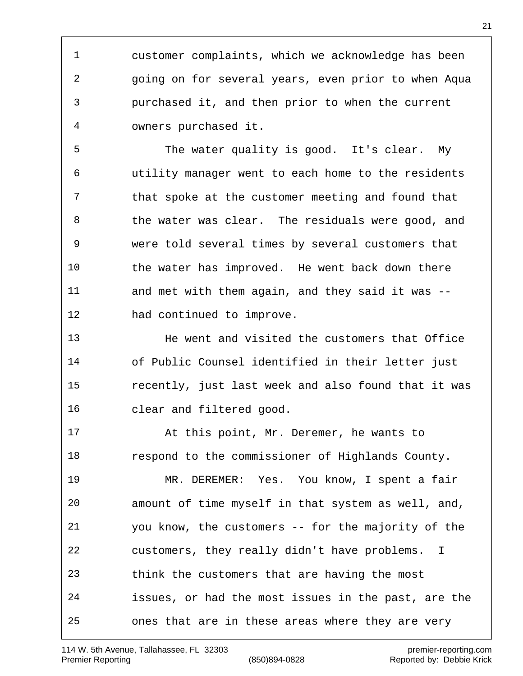customer complaints, which we acknowledge has been going on for several years, even prior to when Aqua purchased it, and then prior to when the current owners purchased it.

 The water quality is good. It's clear. My utility manager went to each home to the residents that spoke at the customer meeting and found that 8 the water was clear. The residuals were good, and were told several times by several customers that the water has improved. He went back down there and met with them again, and they said it was -- had continued to improve.

 He went and visited the customers that Office of Public Counsel identified in their letter just recently, just last week and also found that it was clear and filtered good.

 At this point, Mr. Deremer, he wants to respond to the commissioner of Highlands County. MR. DEREMER: Yes. You know, I spent a fair amount of time myself in that system as well, and, you know, the customers -- for the majority of the customers, they really didn't have problems. I think the customers that are having the most issues, or had the most issues in the past, are the ones that are in these areas where they are very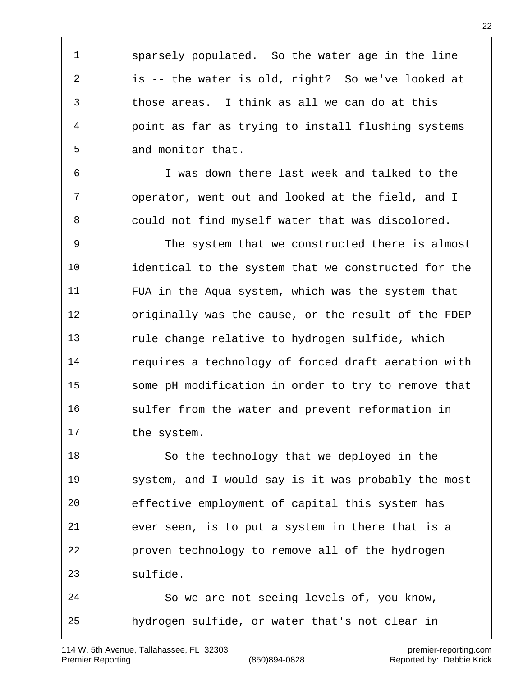sparsely populated. So the water age in the line is -- the water is old, right? So we've looked at those areas. I think as all we can do at this point as far as trying to install flushing systems and monitor that.

 I was down there last week and talked to the operator, went out and looked at the field, and I could not find myself water that was discolored.

 The system that we constructed there is almost identical to the system that we constructed for the FUA in the Aqua system, which was the system that originally was the cause, or the result of the FDEP rule change relative to hydrogen sulfide, which requires a technology of forced draft aeration with some pH modification in order to try to remove that sulfer from the water and prevent reformation in the system.

 So the technology that we deployed in the system, and I would say is it was probably the most effective employment of capital this system has ever seen, is to put a system in there that is a proven technology to remove all of the hydrogen sulfide.

 So we are not seeing levels of, you know, hydrogen sulfide, or water that's not clear in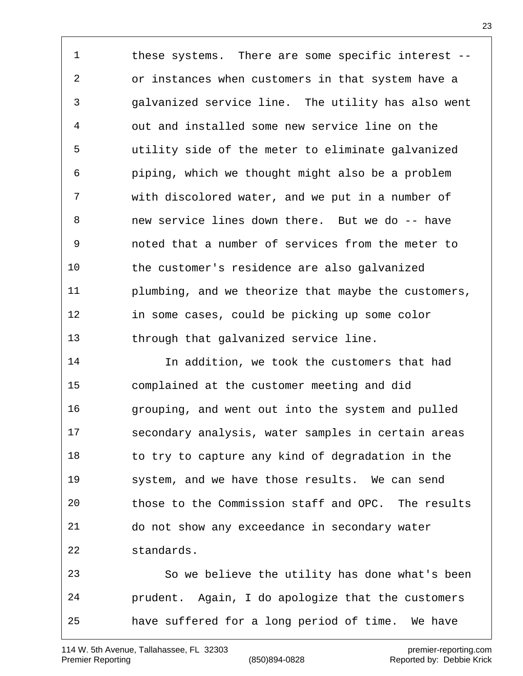1 these systems. There are some specific interest -- or instances when customers in that system have a galvanized service line. The utility has also went out and installed some new service line on the utility side of the meter to eliminate galvanized piping, which we thought might also be a problem with discolored water, and we put in a number of new service lines down there. But we do -- have noted that a number of services from the meter to the customer's residence are also galvanized plumbing, and we theorize that maybe the customers, in some cases, could be picking up some color through that galvanized service line.

 In addition, we took the customers that had complained at the customer meeting and did grouping, and went out into the system and pulled secondary analysis, water samples in certain areas 18 to try to capture any kind of degradation in the system, and we have those results. We can send those to the Commission staff and OPC. The results do not show any exceedance in secondary water standards. So we believe the utility has done what's been prudent. Again, I do apologize that the customers

have suffered for a long period of time. We have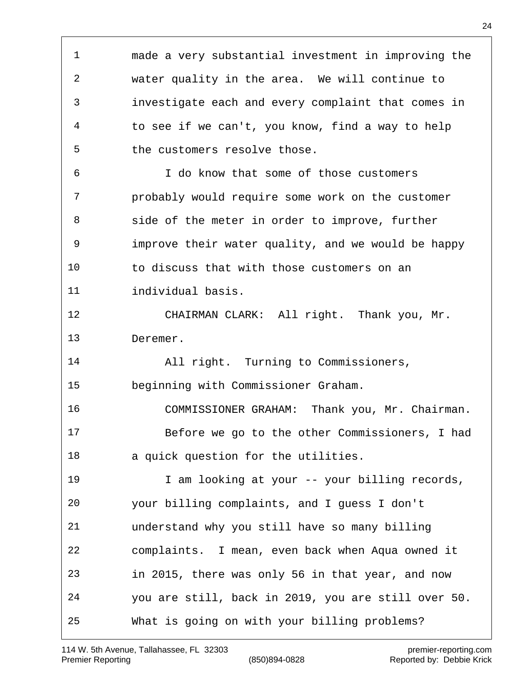made a very substantial investment in improving the water quality in the area. We will continue to investigate each and every complaint that comes in to see if we can't, you know, find a way to help the customers resolve those. I do know that some of those customers probably would require some work on the customer side of the meter in order to improve, further improve their water quality, and we would be happy to discuss that with those customers on an individual basis. CHAIRMAN CLARK: All right. Thank you, Mr. Deremer. All right. Turning to Commissioners, beginning with Commissioner Graham. COMMISSIONER GRAHAM: Thank you, Mr. Chairman. Before we go to the other Commissioners, I had a quick question for the utilities. 19 I am looking at your -- your billing records, your billing complaints, and I guess I don't understand why you still have so many billing complaints. I mean, even back when Aqua owned it in 2015, there was only 56 in that year, and now you are still, back in 2019, you are still over 50. What is going on with your billing problems?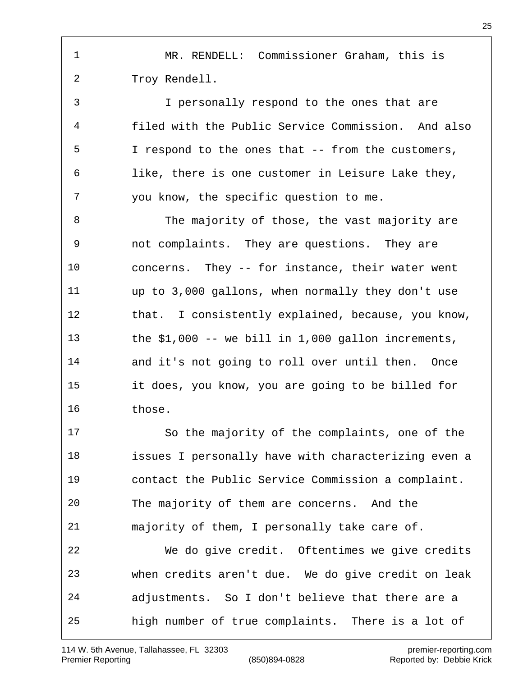MR. RENDELL: Commissioner Graham, this is Troy Rendell.

 I personally respond to the ones that are filed with the Public Service Commission. And also I respond to the ones that -- from the customers, like, there is one customer in Leisure Lake they, you know, the specific question to me.

8 The majority of those, the vast majority are not complaints. They are questions. They are concerns. They -- for instance, their water went up to 3,000 gallons, when normally they don't use that. I consistently explained, because, you know, the \$1,000 -- we bill in 1,000 gallon increments, and it's not going to roll over until then. Once it does, you know, you are going to be billed for those.

 So the majority of the complaints, one of the issues I personally have with characterizing even a contact the Public Service Commission a complaint. The majority of them are concerns. And the majority of them, I personally take care of. We do give credit. Oftentimes we give credits when credits aren't due. We do give credit on leak adjustments. So I don't believe that there are a high number of true complaints. There is a lot of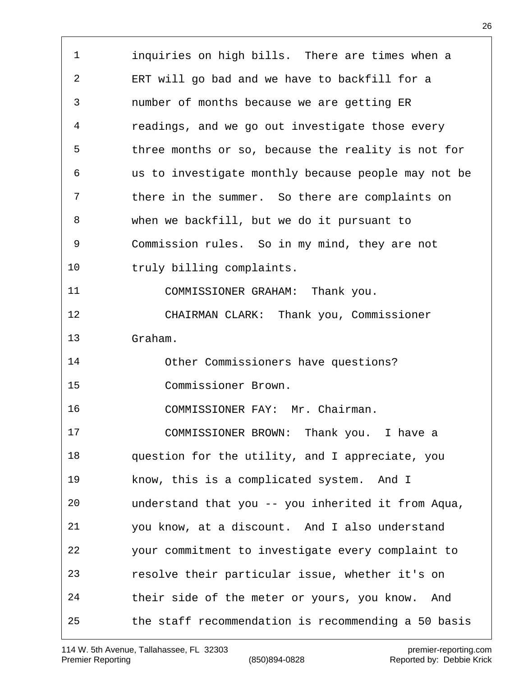inquiries on high bills. There are times when a ERT will go bad and we have to backfill for a number of months because we are getting ER readings, and we go out investigate those every three months or so, because the reality is not for us to investigate monthly because people may not be there in the summer. So there are complaints on when we backfill, but we do it pursuant to Commission rules. So in my mind, they are not truly billing complaints. COMMISSIONER GRAHAM: Thank you. CHAIRMAN CLARK: Thank you, Commissioner Graham. Other Commissioners have questions? Commissioner Brown. COMMISSIONER FAY: Mr. Chairman. COMMISSIONER BROWN: Thank you. I have a question for the utility, and I appreciate, you know, this is a complicated system. And I understand that you -- you inherited it from Aqua, you know, at a discount. And I also understand your commitment to investigate every complaint to resolve their particular issue, whether it's on their side of the meter or yours, you know. And the staff recommendation is recommending a 50 basis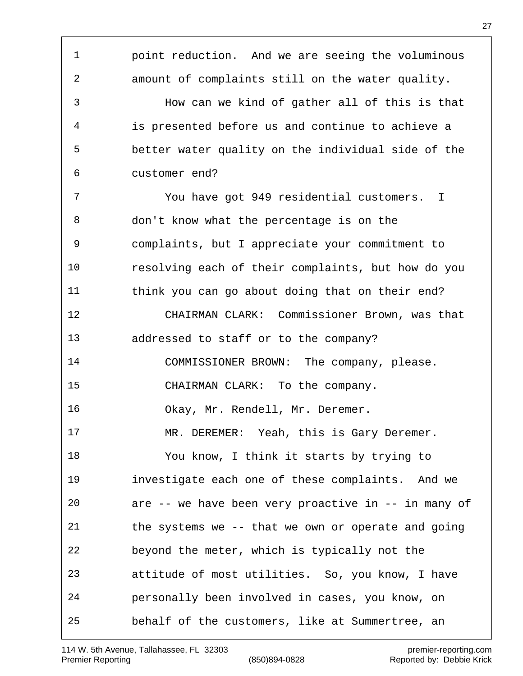point reduction. And we are seeing the voluminous amount of complaints still on the water quality. How can we kind of gather all of this is that is presented before us and continue to achieve a better water quality on the individual side of the customer end? You have got 949 residential customers. I don't know what the percentage is on the complaints, but I appreciate your commitment to resolving each of their complaints, but how do you think you can go about doing that on their end? CHAIRMAN CLARK: Commissioner Brown, was that addressed to staff or to the company? COMMISSIONER BROWN: The company, please. CHAIRMAN CLARK: To the company. Okay, Mr. Rendell, Mr. Deremer. MR. DEREMER: Yeah, this is Gary Deremer. You know, I think it starts by trying to investigate each one of these complaints. And we are -- we have been very proactive in -- in many of the systems we -- that we own or operate and going beyond the meter, which is typically not the attitude of most utilities. So, you know, I have personally been involved in cases, you know, on behalf of the customers, like at Summertree, an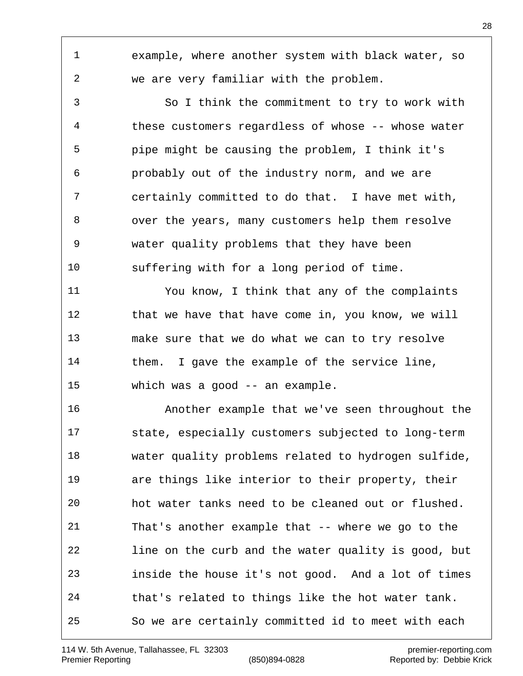example, where another system with black water, so we are very familiar with the problem. So I think the commitment to try to work with these customers regardless of whose -- whose water pipe might be causing the problem, I think it's probably out of the industry norm, and we are certainly committed to do that. I have met with, over the years, many customers help them resolve water quality problems that they have been suffering with for a long period of time. You know, I think that any of the complaints 12 that we have that have come in, you know, we will make sure that we do what we can to try resolve them. I gave the example of the service line, which was a good -- an example. Another example that we've seen throughout the state, especially customers subjected to long-term water quality problems related to hydrogen sulfide, are things like interior to their property, their hot water tanks need to be cleaned out or flushed. That's another example that -- where we go to the line on the curb and the water quality is good, but inside the house it's not good. And a lot of times that's related to things like the hot water tank.

So we are certainly committed id to meet with each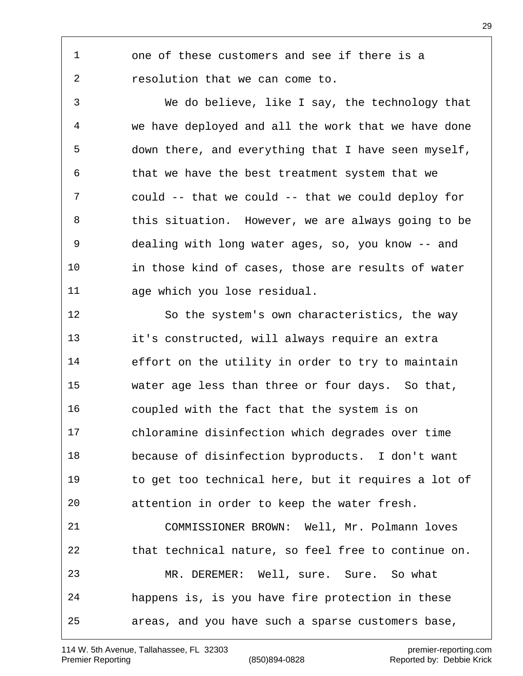one of these customers and see if there is a resolution that we can come to.

 We do believe, like I say, the technology that we have deployed and all the work that we have done down there, and everything that I have seen myself, that we have the best treatment system that we could -- that we could -- that we could deploy for 8 this situation. However, we are always going to be dealing with long water ages, so, you know -- and in those kind of cases, those are results of water age which you lose residual.

 So the system's own characteristics, the way it's constructed, will always require an extra effort on the utility in order to try to maintain water age less than three or four days. So that, coupled with the fact that the system is on chloramine disinfection which degrades over time because of disinfection byproducts. I don't want to get too technical here, but it requires a lot of attention in order to keep the water fresh. COMMISSIONER BROWN: Well, Mr. Polmann loves that technical nature, so feel free to continue on. MR. DEREMER: Well, sure. Sure. So what happens is, is you have fire protection in these areas, and you have such a sparse customers base,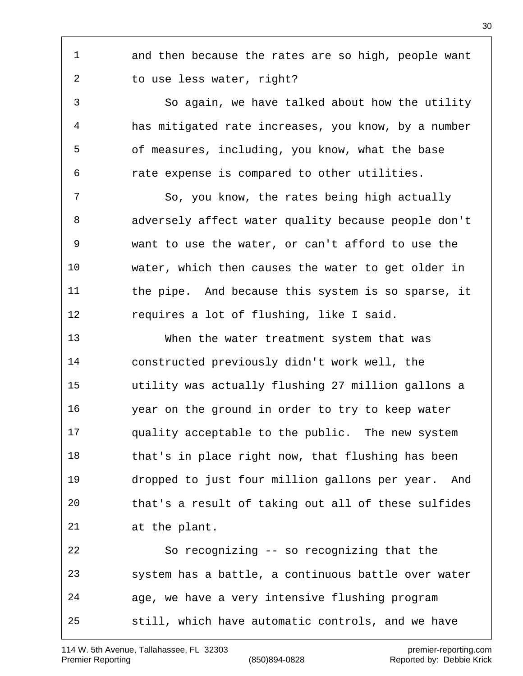and then because the rates are so high, people want to use less water, right?

 So again, we have talked about how the utility has mitigated rate increases, you know, by a number of measures, including, you know, what the base rate expense is compared to other utilities.

 So, you know, the rates being high actually adversely affect water quality because people don't want to use the water, or can't afford to use the water, which then causes the water to get older in the pipe. And because this system is so sparse, it requires a lot of flushing, like I said.

 When the water treatment system that was constructed previously didn't work well, the utility was actually flushing 27 million gallons a year on the ground in order to try to keep water quality acceptable to the public. The new system 18 that's in place right now, that flushing has been dropped to just four million gallons per year. And that's a result of taking out all of these sulfides at the plant.

 So recognizing -- so recognizing that the system has a battle, a continuous battle over water age, we have a very intensive flushing program still, which have automatic controls, and we have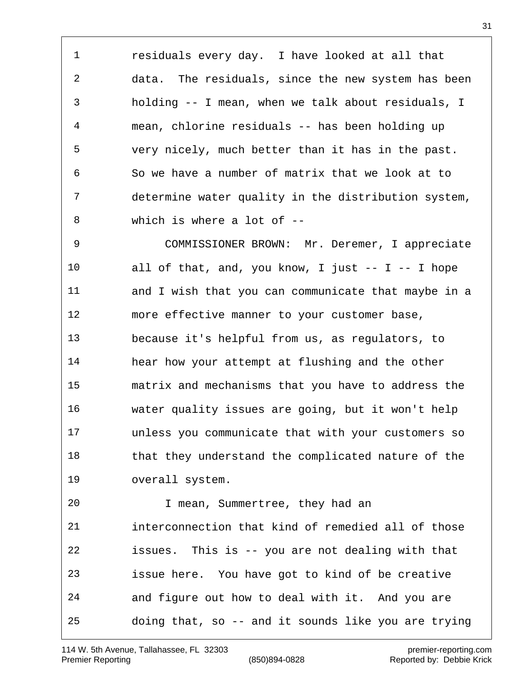residuals every day. I have looked at all that data. The residuals, since the new system has been holding -- I mean, when we talk about residuals, I mean, chlorine residuals -- has been holding up very nicely, much better than it has in the past. So we have a number of matrix that we look at to determine water quality in the distribution system, which is where a lot of --

 COMMISSIONER BROWN: Mr. Deremer, I appreciate all of that, and, you know, I just -- I -- I hope and I wish that you can communicate that maybe in a more effective manner to your customer base, because it's helpful from us, as regulators, to hear how your attempt at flushing and the other matrix and mechanisms that you have to address the water quality issues are going, but it won't help unless you communicate that with your customers so that they understand the complicated nature of the overall system. I mean, Summertree, they had an

 interconnection that kind of remedied all of those issues. This is -- you are not dealing with that issue here. You have got to kind of be creative and figure out how to deal with it. And you are doing that, so -- and it sounds like you are trying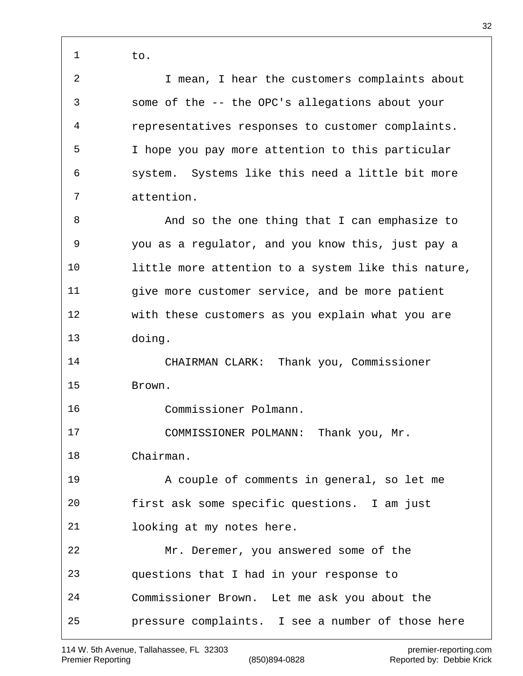to. I mean, I hear the customers complaints about some of the -- the OPC's allegations about your representatives responses to customer complaints. I hope you pay more attention to this particular system. Systems like this need a little bit more attention. 8 And so the one thing that I can emphasize to you as a regulator, and you know this, just pay a little more attention to a system like this nature, give more customer service, and be more patient with these customers as you explain what you are doing. CHAIRMAN CLARK: Thank you, Commissioner Brown. Commissioner Polmann. COMMISSIONER POLMANN: Thank you, Mr. Chairman. A couple of comments in general, so let me first ask some specific questions. I am just looking at my notes here. Mr. Deremer, you answered some of the questions that I had in your response to Commissioner Brown. Let me ask you about the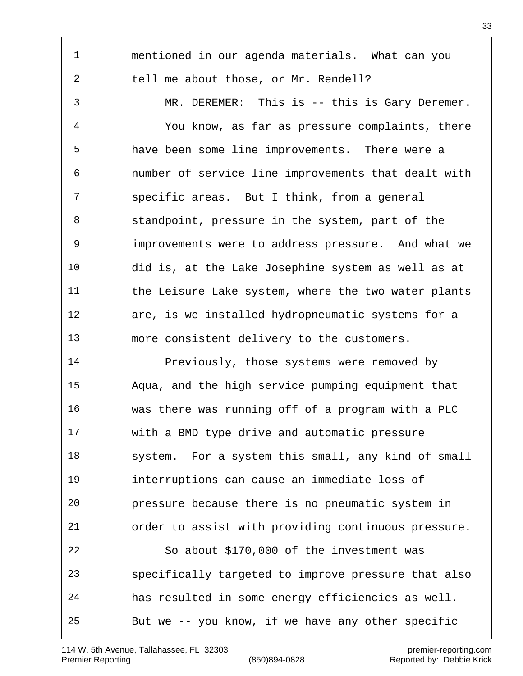mentioned in our agenda materials. What can you tell me about those, or Mr. Rendell? MR. DEREMER: This is -- this is Gary Deremer. You know, as far as pressure complaints, there have been some line improvements. There were a number of service line improvements that dealt with specific areas. But I think, from a general standpoint, pressure in the system, part of the improvements were to address pressure. And what we did is, at the Lake Josephine system as well as at 11 the Leisure Lake system, where the two water plants are, is we installed hydropneumatic systems for a more consistent delivery to the customers. 14 Previously, those systems were removed by Aqua, and the high service pumping equipment that was there was running off of a program with a PLC with a BMD type drive and automatic pressure system. For a system this small, any kind of small interruptions can cause an immediate loss of pressure because there is no pneumatic system in order to assist with providing continuous pressure. So about \$170,000 of the investment was specifically targeted to improve pressure that also has resulted in some energy efficiencies as well. But we -- you know, if we have any other specific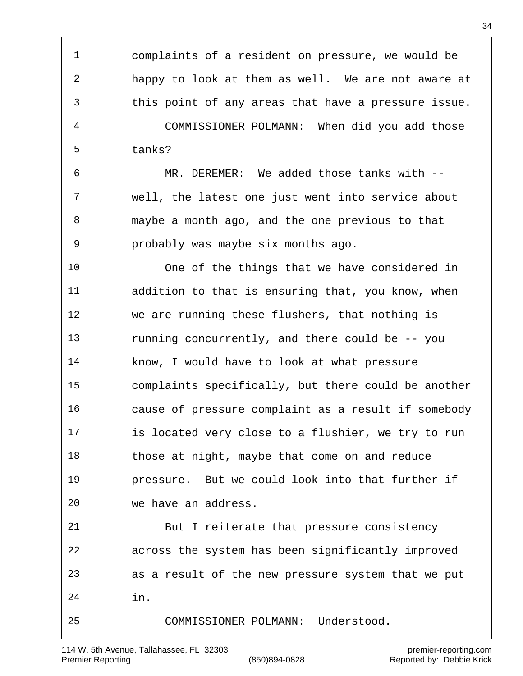complaints of a resident on pressure, we would be happy to look at them as well. We are not aware at this point of any areas that have a pressure issue. COMMISSIONER POLMANN: When did you add those tanks? MR. DEREMER: We added those tanks with -- well, the latest one just went into service about maybe a month ago, and the one previous to that probably was maybe six months ago. One of the things that we have considered in addition to that is ensuring that, you know, when we are running these flushers, that nothing is running concurrently, and there could be -- you know, I would have to look at what pressure complaints specifically, but there could be another cause of pressure complaint as a result if somebody is located very close to a flushier, we try to run 18 those at night, maybe that come on and reduce pressure. But we could look into that further if we have an address. But I reiterate that pressure consistency across the system has been significantly improved as a result of the new pressure system that we put in. COMMISSIONER POLMANN: Understood.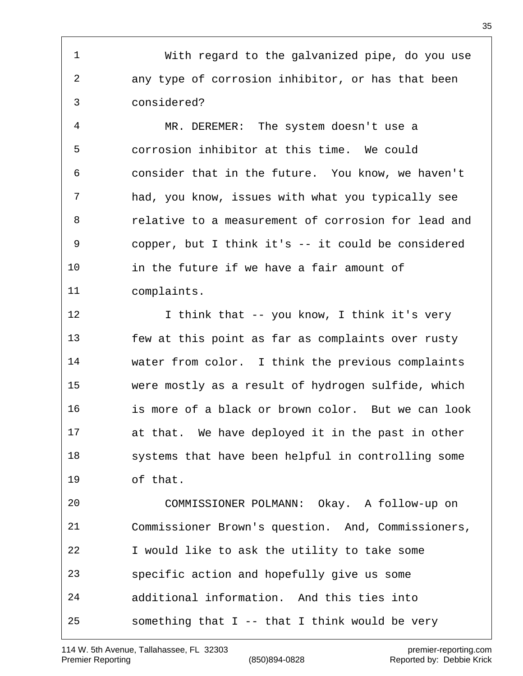With regard to the galvanized pipe, do you use any type of corrosion inhibitor, or has that been considered?

 MR. DEREMER: The system doesn't use a corrosion inhibitor at this time. We could consider that in the future. You know, we haven't had, you know, issues with what you typically see relative to a measurement of corrosion for lead and copper, but I think it's -- it could be considered 10 in the future if we have a fair amount of complaints.

12 I think that -- you know, I think it's very few at this point as far as complaints over rusty water from color. I think the previous complaints were mostly as a result of hydrogen sulfide, which is more of a black or brown color. But we can look at that. We have deployed it in the past in other systems that have been helpful in controlling some of that.

 COMMISSIONER POLMANN: Okay. A follow-up on Commissioner Brown's question. And, Commissioners, I would like to ask the utility to take some specific action and hopefully give us some additional information. And this ties into 25 something that  $I$  -- that I think would be very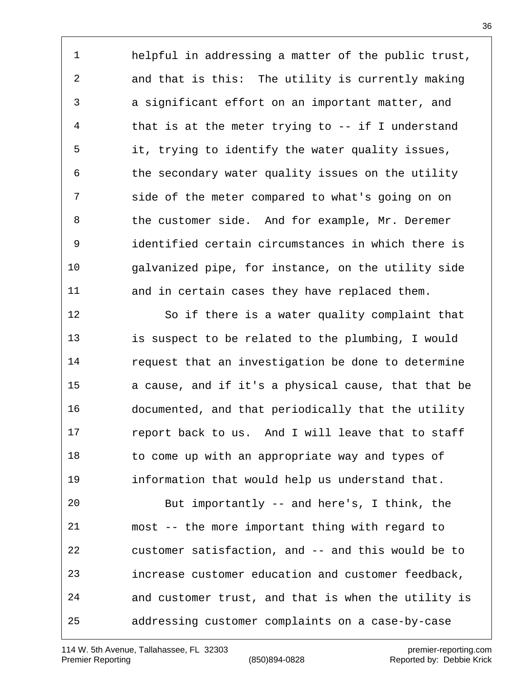helpful in addressing a matter of the public trust, and that is this: The utility is currently making a significant effort on an important matter, and that is at the meter trying to -- if I understand it, trying to identify the water quality issues, the secondary water quality issues on the utility side of the meter compared to what's going on on the customer side. And for example, Mr. Deremer identified certain circumstances in which there is galvanized pipe, for instance, on the utility side and in certain cases they have replaced them.

 So if there is a water quality complaint that is suspect to be related to the plumbing, I would request that an investigation be done to determine a cause, and if it's a physical cause, that that be documented, and that periodically that the utility report back to us. And I will leave that to staff 18 to come up with an appropriate way and types of information that would help us understand that.

 But importantly -- and here's, I think, the most -- the more important thing with regard to customer satisfaction, and -- and this would be to increase customer education and customer feedback, and customer trust, and that is when the utility is addressing customer complaints on a case-by-case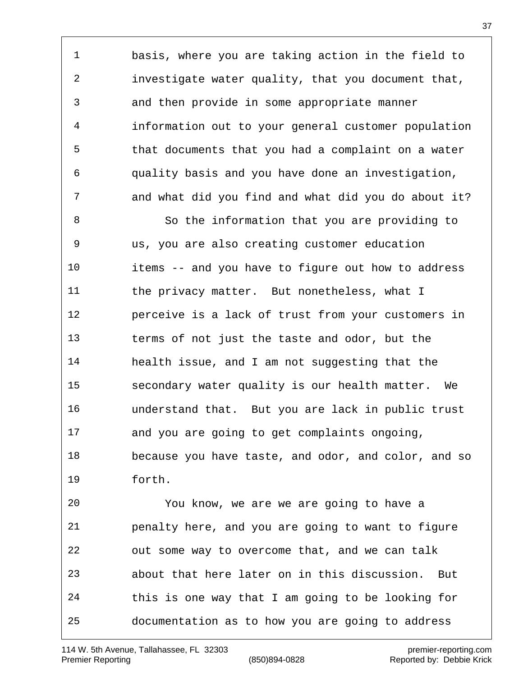basis, where you are taking action in the field to investigate water quality, that you document that, and then provide in some appropriate manner information out to your general customer population that documents that you had a complaint on a water quality basis and you have done an investigation, and what did you find and what did you do about it?

 So the information that you are providing to us, you are also creating customer education items -- and you have to figure out how to address 11 the privacy matter. But nonetheless, what I perceive is a lack of trust from your customers in terms of not just the taste and odor, but the health issue, and I am not suggesting that the secondary water quality is our health matter. We understand that. But you are lack in public trust and you are going to get complaints ongoing, because you have taste, and odor, and color, and so forth.

 You know, we are we are going to have a penalty here, and you are going to want to figure out some way to overcome that, and we can talk about that here later on in this discussion. But this is one way that I am going to be looking for documentation as to how you are going to address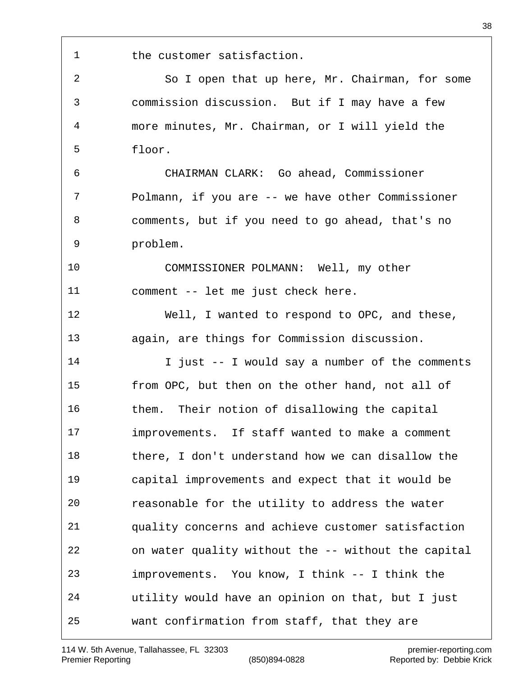1 the customer satisfaction.

 commission discussion. But if I may have a few more minutes, Mr. Chairman, or I will yield the floor. CHAIRMAN CLARK: Go ahead, Commissioner Polmann, if you are -- we have other Commissioner comments, but if you need to go ahead, that's no problem. COMMISSIONER POLMANN: Well, my other comment -- let me just check here. Well, I wanted to respond to OPC, and these, again, are things for Commission discussion. I just -- I would say a number of the comments from OPC, but then on the other hand, not all of them. Their notion of disallowing the capital improvements. If staff wanted to make a comment there, I don't understand how we can disallow the capital improvements and expect that it would be reasonable for the utility to address the water quality concerns and achieve customer satisfaction on water quality without the -- without the capital improvements. You know, I think -- I think the utility would have an opinion on that, but I just want confirmation from staff, that they are

So I open that up here, Mr. Chairman, for some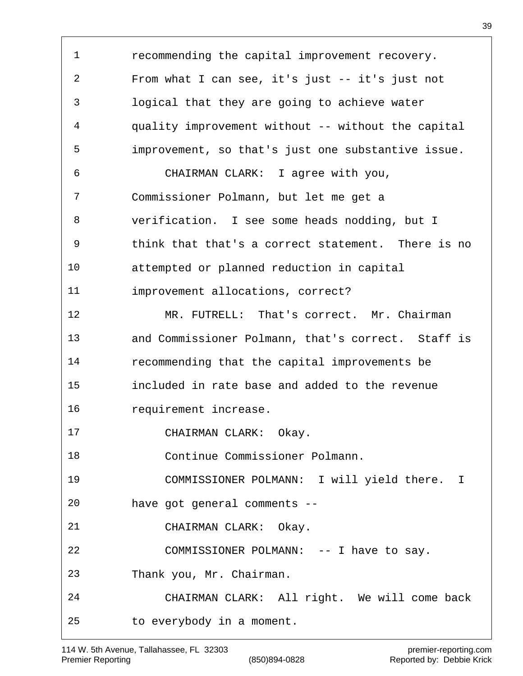recommending the capital improvement recovery. From what I can see, it's just -- it's just not logical that they are going to achieve water quality improvement without -- without the capital improvement, so that's just one substantive issue. CHAIRMAN CLARK: I agree with you, Commissioner Polmann, but let me get a verification. I see some heads nodding, but I think that that's a correct statement. There is no attempted or planned reduction in capital improvement allocations, correct? 12 MR. FUTRELL: That's correct. Mr. Chairman and Commissioner Polmann, that's correct. Staff is recommending that the capital improvements be included in rate base and added to the revenue requirement increase. 17 CHAIRMAN CLARK: Okay. Continue Commissioner Polmann. COMMISSIONER POLMANN: I will yield there. I have got general comments -- CHAIRMAN CLARK: Okay. COMMISSIONER POLMANN: -- I have to say. Thank you, Mr. Chairman. CHAIRMAN CLARK: All right. We will come back to everybody in a moment.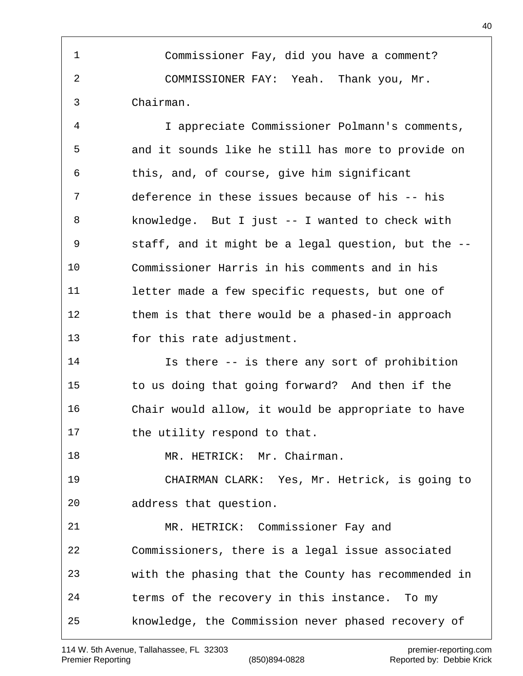Commissioner Fay, did you have a comment? COMMISSIONER FAY: Yeah. Thank you, Mr. Chairman.

 I appreciate Commissioner Polmann's comments, and it sounds like he still has more to provide on this, and, of course, give him significant deference in these issues because of his -- his knowledge. But I just -- I wanted to check with staff, and it might be a legal question, but the -- Commissioner Harris in his comments and in his letter made a few specific requests, but one of them is that there would be a phased-in approach 13 for this rate adjustment.

 Is there -- is there any sort of prohibition to us doing that going forward? And then if the Chair would allow, it would be appropriate to have 17 the utility respond to that.

18 MR. HETRICK: Mr. Chairman.

 CHAIRMAN CLARK: Yes, Mr. Hetrick, is going to address that question.

 MR. HETRICK: Commissioner Fay and Commissioners, there is a legal issue associated with the phasing that the County has recommended in terms of the recovery in this instance. To my knowledge, the Commission never phased recovery of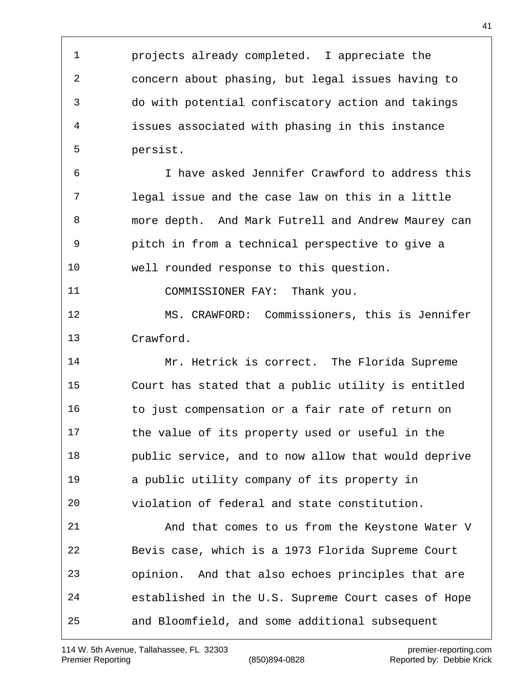projects already completed. I appreciate the concern about phasing, but legal issues having to do with potential confiscatory action and takings issues associated with phasing in this instance persist.

 I have asked Jennifer Crawford to address this legal issue and the case law on this in a little more depth. And Mark Futrell and Andrew Maurey can pitch in from a technical perspective to give a well rounded response to this question.

11 COMMISSIONER FAY: Thank you.

 MS. CRAWFORD: Commissioners, this is Jennifer Crawford.

 Mr. Hetrick is correct. The Florida Supreme Court has stated that a public utility is entitled 16 to just compensation or a fair rate of return on the value of its property used or useful in the public service, and to now allow that would deprive a public utility company of its property in violation of federal and state constitution.

 And that comes to us from the Keystone Water V Bevis case, which is a 1973 Florida Supreme Court opinion. And that also echoes principles that are established in the U.S. Supreme Court cases of Hope and Bloomfield, and some additional subsequent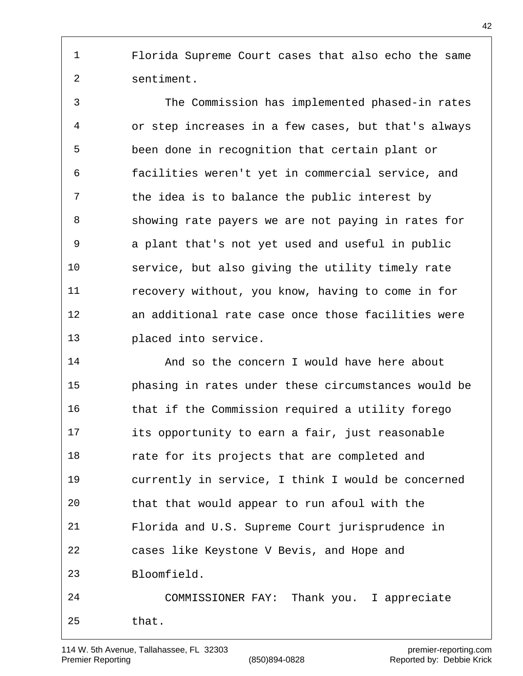Florida Supreme Court cases that also echo the same sentiment.

 The Commission has implemented phased-in rates or step increases in a few cases, but that's always been done in recognition that certain plant or facilities weren't yet in commercial service, and the idea is to balance the public interest by showing rate payers we are not paying in rates for a plant that's not yet used and useful in public service, but also giving the utility timely rate recovery without, you know, having to come in for an additional rate case once those facilities were placed into service.

14 And so the concern I would have here about phasing in rates under these circumstances would be that if the Commission required a utility forego its opportunity to earn a fair, just reasonable 18 rate for its projects that are completed and currently in service, I think I would be concerned that that would appear to run afoul with the Florida and U.S. Supreme Court jurisprudence in cases like Keystone V Bevis, and Hope and Bloomfield. COMMISSIONER FAY: Thank you. I appreciate that.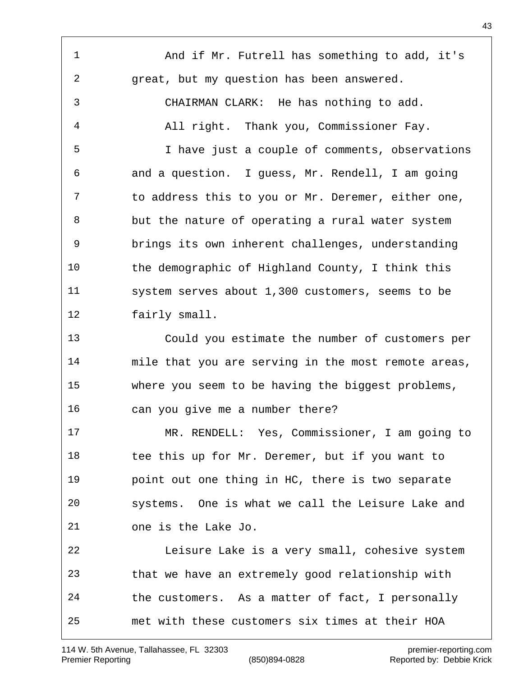And if Mr. Futrell has something to add, it's great, but my question has been answered. CHAIRMAN CLARK: He has nothing to add. All right. Thank you, Commissioner Fay. I have just a couple of comments, observations and a question. I guess, Mr. Rendell, I am going to address this to you or Mr. Deremer, either one, but the nature of operating a rural water system brings its own inherent challenges, understanding the demographic of Highland County, I think this system serves about 1,300 customers, seems to be fairly small. Could you estimate the number of customers per mile that you are serving in the most remote areas, where you seem to be having the biggest problems, can you give me a number there? MR. RENDELL: Yes, Commissioner, I am going to 18 tee this up for Mr. Deremer, but if you want to point out one thing in HC, there is two separate systems. One is what we call the Leisure Lake and one is the Lake Jo. Leisure Lake is a very small, cohesive system that we have an extremely good relationship with the customers. As a matter of fact, I personally met with these customers six times at their HOA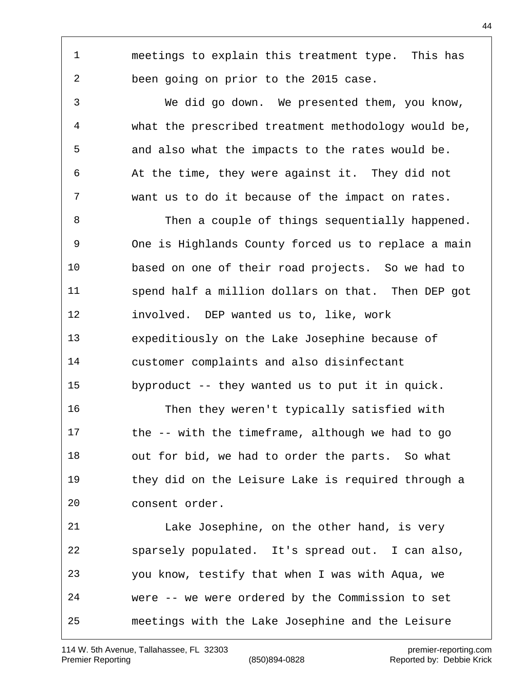spend half a million dollars on that. Then DEP got involved. DEP wanted us to, like, work expeditiously on the Lake Josephine because of customer complaints and also disinfectant byproduct -- they wanted us to put it in quick. Then they weren't typically satisfied with the -- with the timeframe, although we had to go out for bid, we had to order the parts. So what they did on the Leisure Lake is required through a consent order. sparsely populated. It's spread out. I can also, you know, testify that when I was with Aqua, we were -- we were ordered by the Commission to set

## Lake Josephine, on the other hand, is very

meetings with the Lake Josephine and the Leisure

meetings to explain this treatment type. This has

We did go down. We presented them, you know,

what the prescribed treatment methodology would be,

and also what the impacts to the rates would be.

At the time, they were against it. They did not

want us to do it because of the impact on rates.

8 Then a couple of things sequentially happened.

One is Highlands County forced us to replace a main

based on one of their road projects. So we had to

been going on prior to the 2015 case.

114 W. 5th Avenue, Tallahassee, FL 32303 premier-reporting.com Premier Reporting (850)894-0828 Reported by: Debbie Krick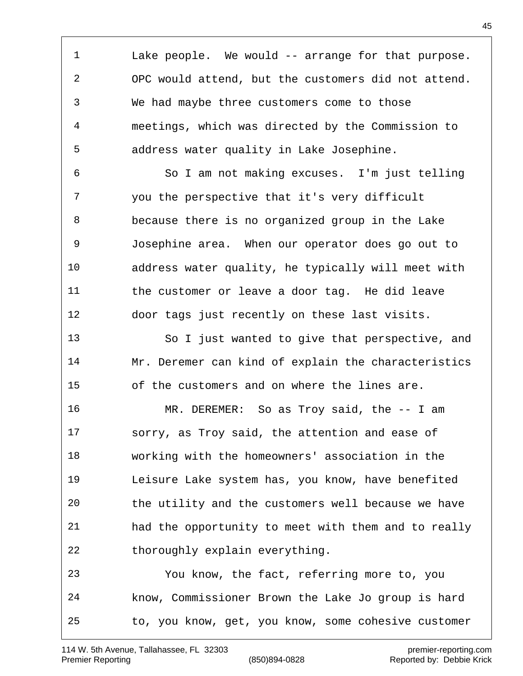Lake people. We would -- arrange for that purpose. OPC would attend, but the customers did not attend. We had maybe three customers come to those meetings, which was directed by the Commission to address water quality in Lake Josephine.

 So I am not making excuses. I'm just telling you the perspective that it's very difficult because there is no organized group in the Lake Josephine area. When our operator does go out to address water quality, he typically will meet with the customer or leave a door tag. He did leave door tags just recently on these last visits.

 So I just wanted to give that perspective, and Mr. Deremer can kind of explain the characteristics of the customers and on where the lines are.

 MR. DEREMER: So as Troy said, the -- I am sorry, as Troy said, the attention and ease of working with the homeowners' association in the Leisure Lake system has, you know, have benefited the utility and the customers well because we have had the opportunity to meet with them and to really 22 thoroughly explain everything. You know, the fact, referring more to, you

 know, Commissioner Brown the Lake Jo group is hard to, you know, get, you know, some cohesive customer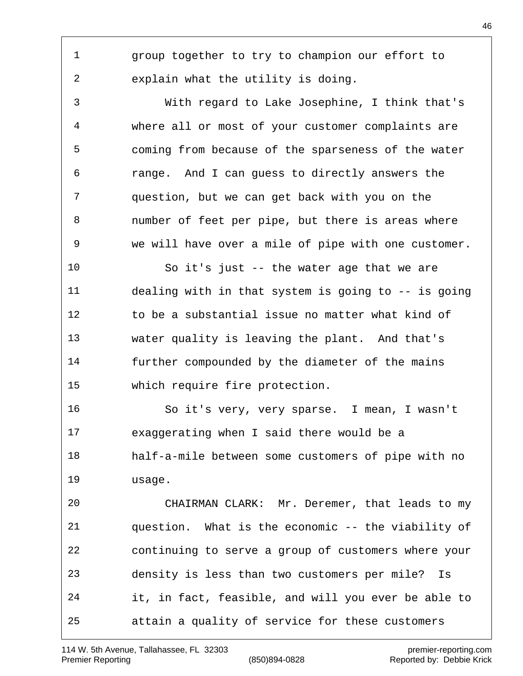group together to try to champion our effort to explain what the utility is doing.

 With regard to Lake Josephine, I think that's where all or most of your customer complaints are coming from because of the sparseness of the water range. And I can guess to directly answers the question, but we can get back with you on the number of feet per pipe, but there is areas where we will have over a mile of pipe with one customer.

 So it's just -- the water age that we are dealing with in that system is going to -- is going to be a substantial issue no matter what kind of water quality is leaving the plant. And that's further compounded by the diameter of the mains which require fire protection.

 So it's very, very sparse. I mean, I wasn't exaggerating when I said there would be a half-a-mile between some customers of pipe with no usage.

 CHAIRMAN CLARK: Mr. Deremer, that leads to my question. What is the economic -- the viability of continuing to serve a group of customers where your density is less than two customers per mile? Is it, in fact, feasible, and will you ever be able to attain a quality of service for these customers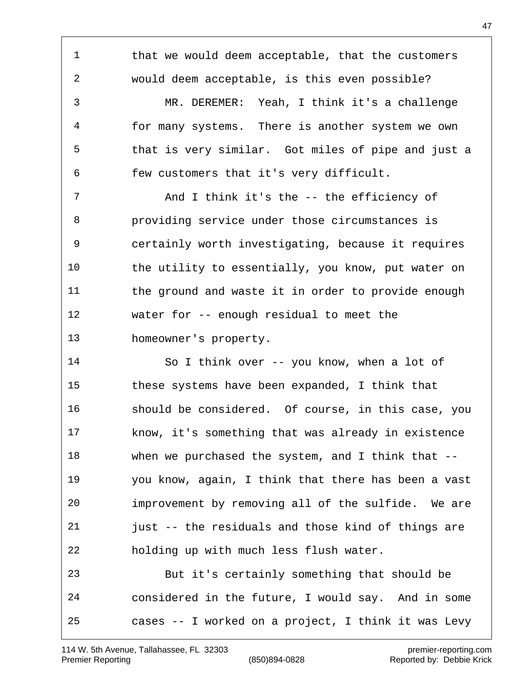1 that we would deem acceptable, that the customers would deem acceptable, is this even possible? MR. DEREMER: Yeah, I think it's a challenge for many systems. There is another system we own that is very similar. Got miles of pipe and just a few customers that it's very difficult. 7 And I think it's the -- the efficiency of providing service under those circumstances is certainly worth investigating, because it requires the utility to essentially, you know, put water on 11 the ground and waste it in order to provide enough water for -- enough residual to meet the homeowner's property. So I think over -- you know, when a lot of these systems have been expanded, I think that should be considered. Of course, in this case, you know, it's something that was already in existence when we purchased the system, and I think that -- you know, again, I think that there has been a vast improvement by removing all of the sulfide. We are just -- the residuals and those kind of things are holding up with much less flush water. But it's certainly something that should be

 considered in the future, I would say. And in some cases -- I worked on a project, I think it was Levy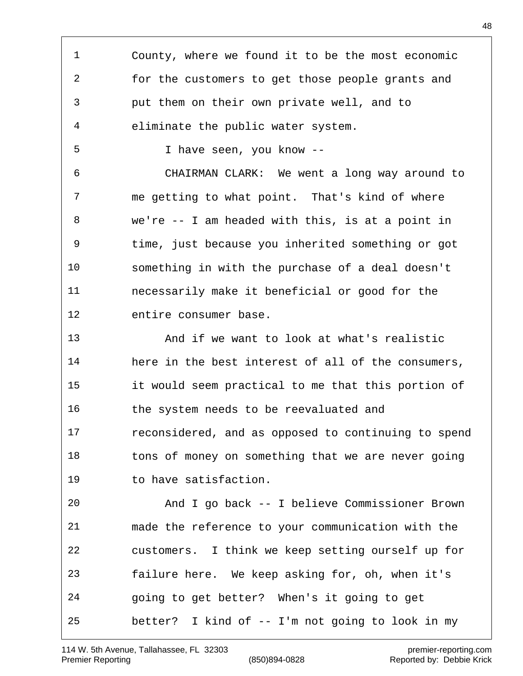County, where we found it to be the most economic for the customers to get those people grants and put them on their own private well, and to eliminate the public water system. I have seen, you know -- CHAIRMAN CLARK: We went a long way around to me getting to what point. That's kind of where we're -- I am headed with this, is at a point in time, just because you inherited something or got something in with the purchase of a deal doesn't necessarily make it beneficial or good for the entire consumer base. And if we want to look at what's realistic here in the best interest of all of the consumers, it would seem practical to me that this portion of the system needs to be reevaluated and reconsidered, and as opposed to continuing to spend 18 tons of money on something that we are never going to have satisfaction. And I go back -- I believe Commissioner Brown made the reference to your communication with the customers. I think we keep setting ourself up for failure here. We keep asking for, oh, when it's going to get better? When's it going to get better? I kind of -- I'm not going to look in my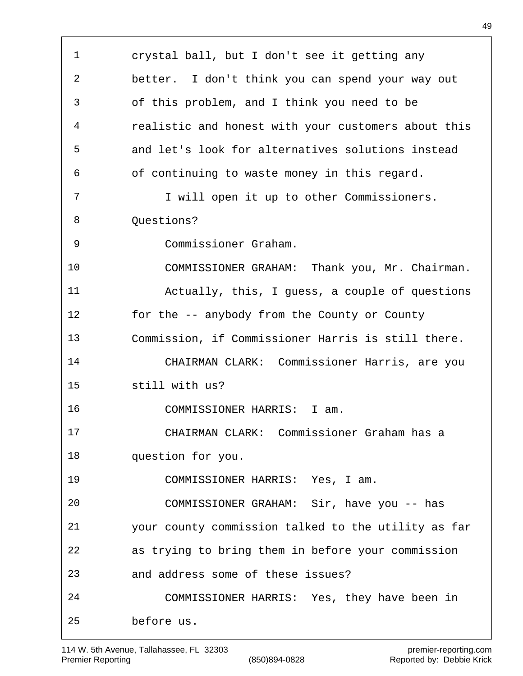crystal ball, but I don't see it getting any better. I don't think you can spend your way out of this problem, and I think you need to be realistic and honest with your customers about this and let's look for alternatives solutions instead of continuing to waste money in this regard. 7 I will open it up to other Commissioners. 8 Ouestions? Commissioner Graham. COMMISSIONER GRAHAM: Thank you, Mr. Chairman. Actually, this, I guess, a couple of questions for the -- anybody from the County or County Commission, if Commissioner Harris is still there. CHAIRMAN CLARK: Commissioner Harris, are you still with us? COMMISSIONER HARRIS: I am. CHAIRMAN CLARK: Commissioner Graham has a question for you. COMMISSIONER HARRIS: Yes, I am. COMMISSIONER GRAHAM: Sir, have you -- has your county commission talked to the utility as far as trying to bring them in before your commission and address some of these issues? COMMISSIONER HARRIS: Yes, they have been in before us.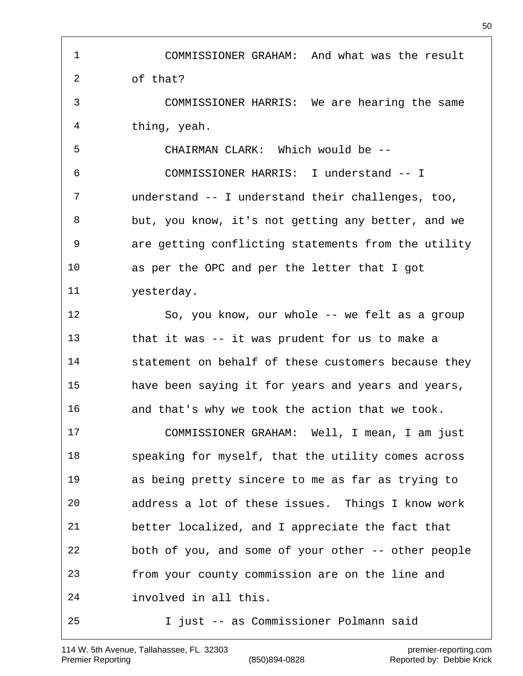COMMISSIONER GRAHAM: And what was the result of that? COMMISSIONER HARRIS: We are hearing the same thing, yeah. CHAIRMAN CLARK: Which would be -- COMMISSIONER HARRIS: I understand -- I understand -- I understand their challenges, too, but, you know, it's not getting any better, and we are getting conflicting statements from the utility as per the OPC and per the letter that I got yesterday. So, you know, our whole -- we felt as a group that it was -- it was prudent for us to make a statement on behalf of these customers because they have been saying it for years and years and years, and that's why we took the action that we took. COMMISSIONER GRAHAM: Well, I mean, I am just speaking for myself, that the utility comes across as being pretty sincere to me as far as trying to address a lot of these issues. Things I know work better localized, and I appreciate the fact that both of you, and some of your other -- other people from your county commission are on the line and involved in all this. I just -- as Commissioner Polmann said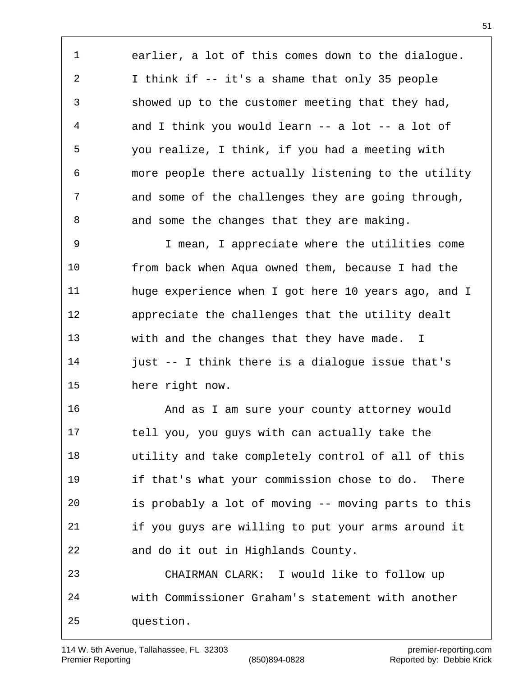earlier, a lot of this comes down to the dialogue. I think if -- it's a shame that only 35 people showed up to the customer meeting that they had, and I think you would learn -- a lot -- a lot of you realize, I think, if you had a meeting with more people there actually listening to the utility and some of the challenges they are going through, 8 and some the changes that they are making.

 I mean, I appreciate where the utilities come from back when Aqua owned them, because I had the huge experience when I got here 10 years ago, and I appreciate the challenges that the utility dealt with and the changes that they have made. I just -- I think there is a dialogue issue that's here right now.

 And as I am sure your county attorney would tell you, you guys with can actually take the utility and take completely control of all of this if that's what your commission chose to do. There is probably a lot of moving -- moving parts to this if you guys are willing to put your arms around it and do it out in Highlands County. CHAIRMAN CLARK: I would like to follow up with Commissioner Graham's statement with another question.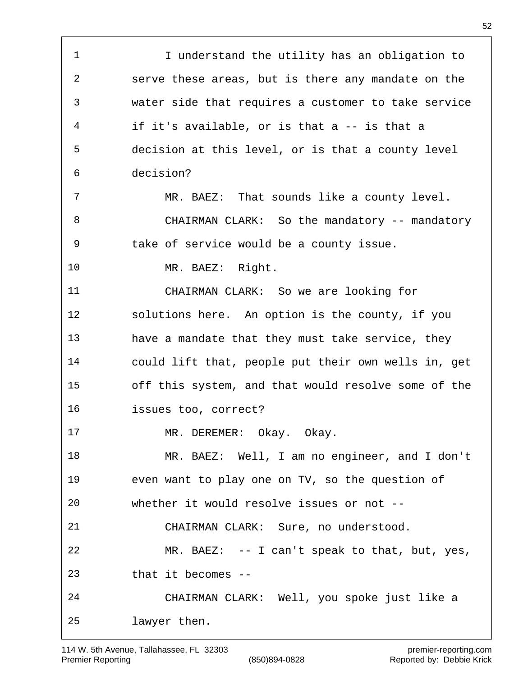I understand the utility has an obligation to serve these areas, but is there any mandate on the water side that requires a customer to take service if it's available, or is that a -- is that a decision at this level, or is that a county level decision? MR. BAEZ: That sounds like a county level. 8 CHAIRMAN CLARK: So the mandatory -- mandatory take of service would be a county issue. MR. BAEZ: Right. CHAIRMAN CLARK: So we are looking for solutions here. An option is the county, if you 13 have a mandate that they must take service, they could lift that, people put their own wells in, get off this system, and that would resolve some of the issues too, correct? 17 MR. DEREMER: Okay. Okay. MR. BAEZ: Well, I am no engineer, and I don't even want to play one on TV, so the question of whether it would resolve issues or not -- CHAIRMAN CLARK: Sure, no understood. MR. BAEZ: -- I can't speak to that, but, yes, that it becomes -- CHAIRMAN CLARK: Well, you spoke just like a lawyer then.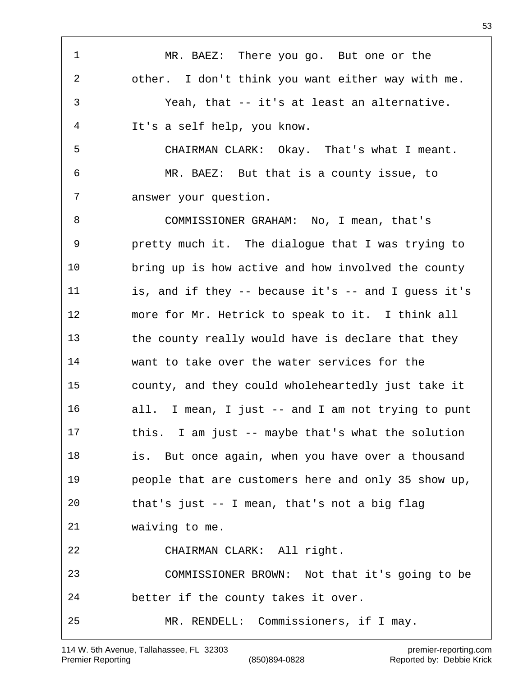MR. BAEZ: There you go. But one or the other. I don't think you want either way with me. Yeah, that -- it's at least an alternative. It's a self help, you know. CHAIRMAN CLARK: Okay. That's what I meant. MR. BAEZ: But that is a county issue, to answer your question. COMMISSIONER GRAHAM: No, I mean, that's pretty much it. The dialogue that I was trying to bring up is how active and how involved the county is, and if they -- because it's -- and I guess it's more for Mr. Hetrick to speak to it. I think all 13 the county really would have is declare that they want to take over the water services for the county, and they could wholeheartedly just take it all. I mean, I just -- and I am not trying to punt this. I am just -- maybe that's what the solution is. But once again, when you have over a thousand people that are customers here and only 35 show up, that's just -- I mean, that's not a big flag waiving to me. CHAIRMAN CLARK: All right. COMMISSIONER BROWN: Not that it's going to be better if the county takes it over. MR. RENDELL: Commissioners, if I may.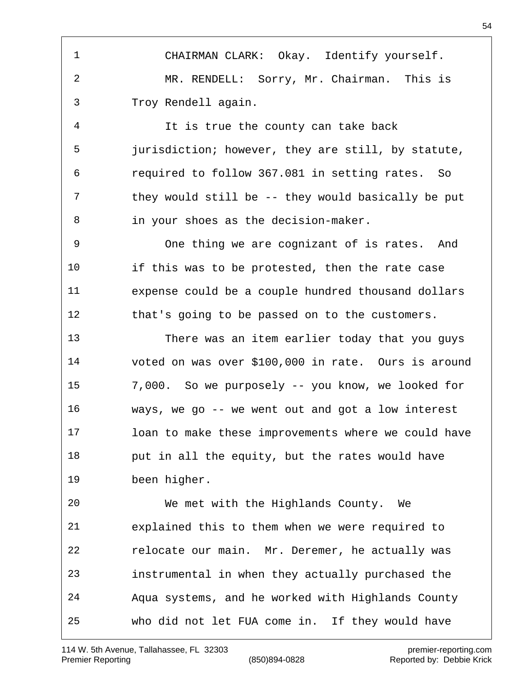CHAIRMAN CLARK: Okay. Identify yourself. MR. RENDELL: Sorry, Mr. Chairman. This is Troy Rendell again.

 It is true the county can take back jurisdiction; however, they are still, by statute, required to follow 367.081 in setting rates. So they would still be -- they would basically be put in your shoes as the decision-maker.

 One thing we are cognizant of is rates. And if this was to be protested, then the rate case expense could be a couple hundred thousand dollars that's going to be passed on to the customers.

 There was an item earlier today that you guys voted on was over \$100,000 in rate. Ours is around 7,000. So we purposely -- you know, we looked for ways, we go -- we went out and got a low interest loan to make these improvements where we could have put in all the equity, but the rates would have been higher.

 We met with the Highlands County. We explained this to them when we were required to relocate our main. Mr. Deremer, he actually was instrumental in when they actually purchased the Aqua systems, and he worked with Highlands County who did not let FUA come in. If they would have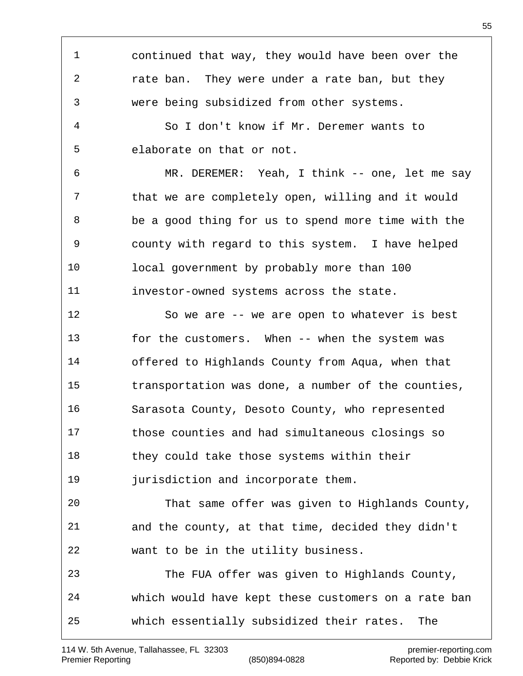continued that way, they would have been over the rate ban. They were under a rate ban, but they were being subsidized from other systems. So I don't know if Mr. Deremer wants to elaborate on that or not. MR. DEREMER: Yeah, I think -- one, let me say that we are completely open, willing and it would be a good thing for us to spend more time with the county with regard to this system. I have helped local government by probably more than 100 investor-owned systems across the state. So we are -- we are open to whatever is best for the customers. When -- when the system was offered to Highlands County from Aqua, when that transportation was done, a number of the counties, Sarasota County, Desoto County, who represented those counties and had simultaneous closings so 18 they could take those systems within their **jurisdiction** and incorporate them. That same offer was given to Highlands County, and the county, at that time, decided they didn't want to be in the utility business. The FUA offer was given to Highlands County, which would have kept these customers on a rate ban which essentially subsidized their rates. The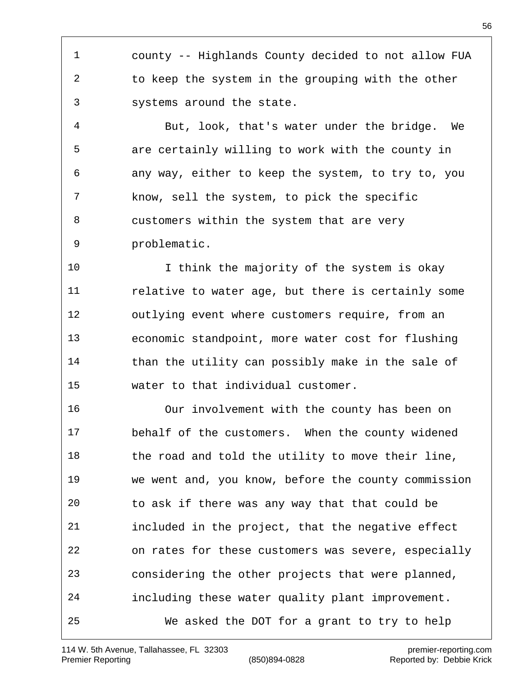county -- Highlands County decided to not allow FUA to keep the system in the grouping with the other systems around the state.

 But, look, that's water under the bridge. We are certainly willing to work with the county in any way, either to keep the system, to try to, you know, sell the system, to pick the specific customers within the system that are very problematic.

 I think the majority of the system is okay relative to water age, but there is certainly some outlying event where customers require, from an economic standpoint, more water cost for flushing 14 than the utility can possibly make in the sale of water to that individual customer.

 Our involvement with the county has been on behalf of the customers. When the county widened 18 the road and told the utility to move their line, we went and, you know, before the county commission to ask if there was any way that that could be included in the project, that the negative effect on rates for these customers was severe, especially considering the other projects that were planned, including these water quality plant improvement. We asked the DOT for a grant to try to help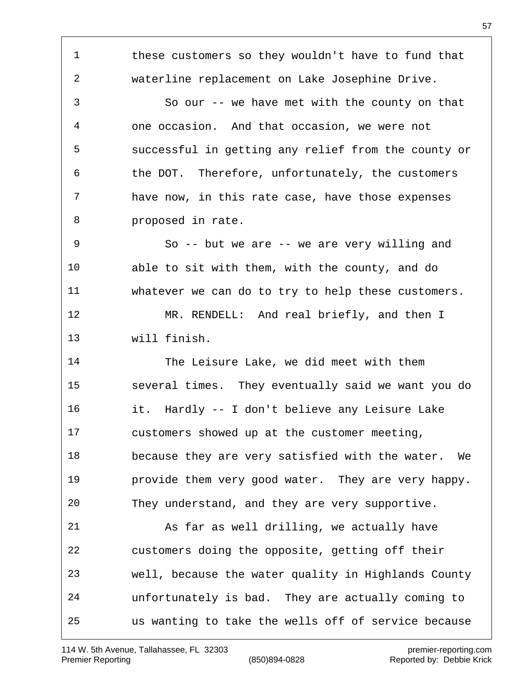these customers so they wouldn't have to fund that waterline replacement on Lake Josephine Drive. So our -- we have met with the county on that one occasion. And that occasion, we were not successful in getting any relief from the county or the DOT. Therefore, unfortunately, the customers have now, in this rate case, have those expenses proposed in rate. So -- but we are -- we are very willing and able to sit with them, with the county, and do whatever we can do to try to help these customers. 12 MR. RENDELL: And real briefly, and then I will finish. The Leisure Lake, we did meet with them several times. They eventually said we want you do it. Hardly -- I don't believe any Leisure Lake customers showed up at the customer meeting, because they are very satisfied with the water. We provide them very good water. They are very happy. They understand, and they are very supportive. As far as well drilling, we actually have customers doing the opposite, getting off their well, because the water quality in Highlands County unfortunately is bad. They are actually coming to us wanting to take the wells off of service because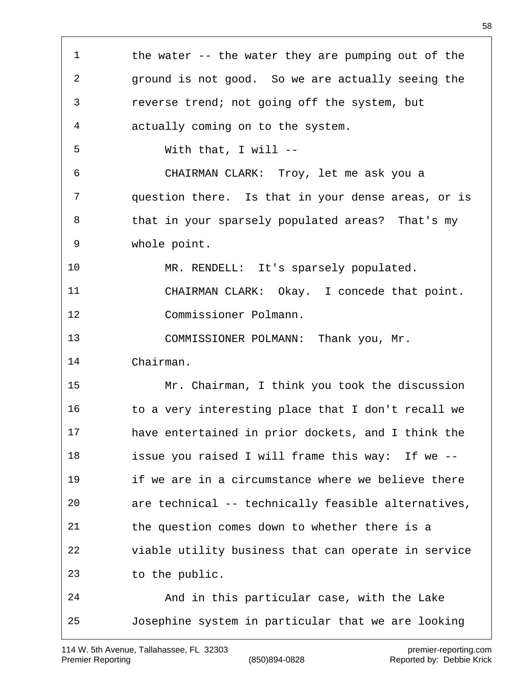| $\mathbf 1$    | the water $-$ the water they are pumping out of the |
|----------------|-----------------------------------------------------|
| $\mathbf{2}$   | ground is not good. So we are actually seeing the   |
| $\mathfrak{Z}$ | reverse trend; not going off the system, but        |
| 4              | actually coming on to the system.                   |
| 5              | With that, I will $--$                              |
| 6              | CHAIRMAN CLARK: Troy, let me ask you a              |
| $\overline{7}$ | question there. Is that in your dense areas, or is  |
| 8              | that in your sparsely populated areas? That's my    |
| 9              | whole point.                                        |
| 10             | MR. RENDELL: It's sparsely populated.               |
| 11             | CHAIRMAN CLARK: Okay. I concede that point.         |
| 12             | Commissioner Polmann.                               |
| 13             | COMMISSIONER POLMANN: Thank you, Mr.                |
| 14             | Chairman.                                           |
| 15             | Mr. Chairman, I think you took the discussion       |
| 16             | to a very interesting place that I don't recall we  |
| 17             | have entertained in prior dockets, and I think the  |
| 18             | issue you raised I will frame this way: If we --    |
| 19             | if we are in a circumstance where we believe there  |
| 20             | are technical -- technically feasible alternatives, |
| 21             | the question comes down to whether there is a       |
| 22             | viable utility business that can operate in service |
| 23             | to the public.                                      |
| 24             | And in this particular case, with the Lake          |
| 25             | Josephine system in particular that we are looking  |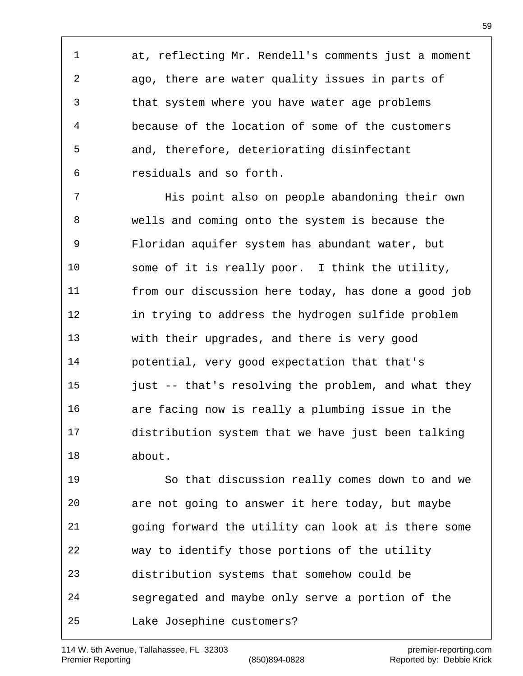at, reflecting Mr. Rendell's comments just a moment ago, there are water quality issues in parts of that system where you have water age problems because of the location of some of the customers and, therefore, deteriorating disinfectant residuals and so forth.

 His point also on people abandoning their own wells and coming onto the system is because the Floridan aquifer system has abundant water, but some of it is really poor. I think the utility, from our discussion here today, has done a good job in trying to address the hydrogen sulfide problem with their upgrades, and there is very good potential, very good expectation that that's 15 just -- that's resolving the problem, and what they are facing now is really a plumbing issue in the distribution system that we have just been talking about.

 So that discussion really comes down to and we are not going to answer it here today, but maybe going forward the utility can look at is there some way to identify those portions of the utility distribution systems that somehow could be segregated and maybe only serve a portion of the Lake Josephine customers?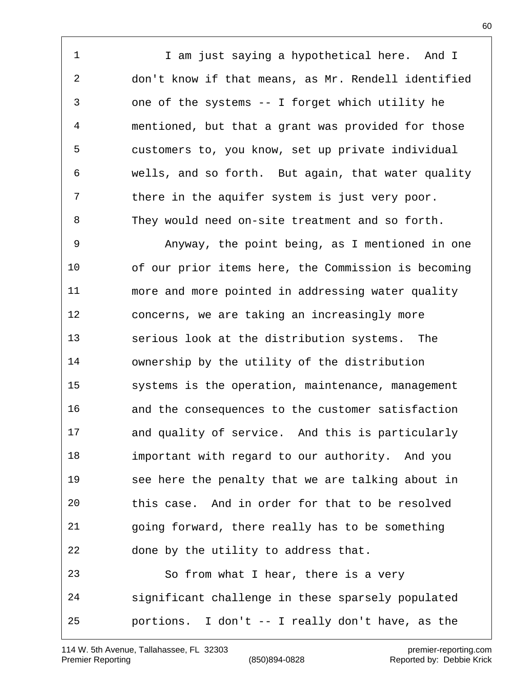1 I am just saying a hypothetical here. And I don't know if that means, as Mr. Rendell identified one of the systems -- I forget which utility he mentioned, but that a grant was provided for those customers to, you know, set up private individual wells, and so forth. But again, that water quality 7 there in the aquifer system is just very poor. They would need on-site treatment and so forth.

 Anyway, the point being, as I mentioned in one of our prior items here, the Commission is becoming more and more pointed in addressing water quality concerns, we are taking an increasingly more serious look at the distribution systems. The ownership by the utility of the distribution systems is the operation, maintenance, management and the consequences to the customer satisfaction and quality of service. And this is particularly important with regard to our authority. And you see here the penalty that we are talking about in this case. And in order for that to be resolved going forward, there really has to be something done by the utility to address that. So from what I hear, there is a very significant challenge in these sparsely populated portions. I don't -- I really don't have, as the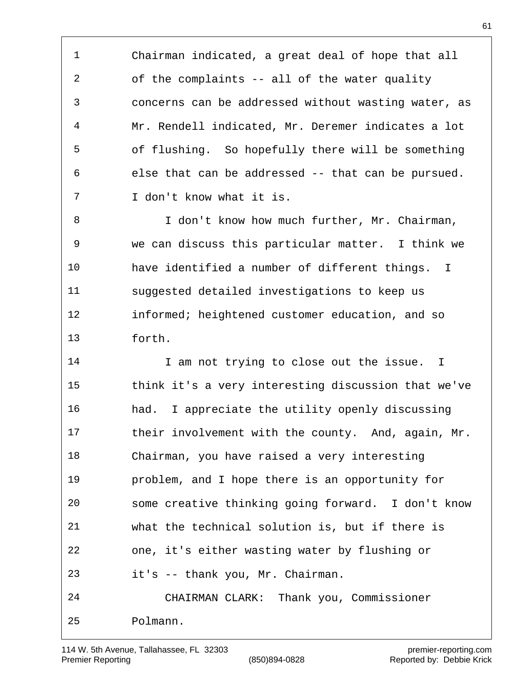Chairman indicated, a great deal of hope that all of the complaints -- all of the water quality concerns can be addressed without wasting water, as Mr. Rendell indicated, Mr. Deremer indicates a lot of flushing. So hopefully there will be something else that can be addressed -- that can be pursued. I don't know what it is.

 I don't know how much further, Mr. Chairman, we can discuss this particular matter. I think we have identified a number of different things. I suggested detailed investigations to keep us informed; heightened customer education, and so forth.

14 I am not trying to close out the issue. I think it's a very interesting discussion that we've had. I appreciate the utility openly discussing 17 their involvement with the county. And, again, Mr. Chairman, you have raised a very interesting problem, and I hope there is an opportunity for some creative thinking going forward. I don't know what the technical solution is, but if there is one, it's either wasting water by flushing or it's -- thank you, Mr. Chairman. CHAIRMAN CLARK: Thank you, Commissioner Polmann.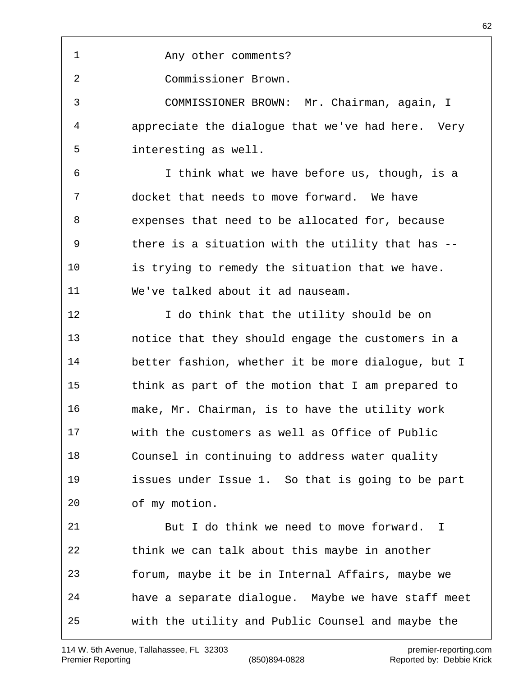Any other comments?

Commissioner Brown.

 COMMISSIONER BROWN: Mr. Chairman, again, I appreciate the dialogue that we've had here. Very interesting as well.

 I think what we have before us, though, is a docket that needs to move forward. We have expenses that need to be allocated for, because there is a situation with the utility that has -- is trying to remedy the situation that we have. We've talked about it ad nauseam.

12 I do think that the utility should be on notice that they should engage the customers in a better fashion, whether it be more dialogue, but I think as part of the motion that I am prepared to make, Mr. Chairman, is to have the utility work with the customers as well as Office of Public Counsel in continuing to address water quality issues under Issue 1. So that is going to be part of my motion. But I do think we need to move forward. I

 think we can talk about this maybe in another forum, maybe it be in Internal Affairs, maybe we have a separate dialogue. Maybe we have staff meet with the utility and Public Counsel and maybe the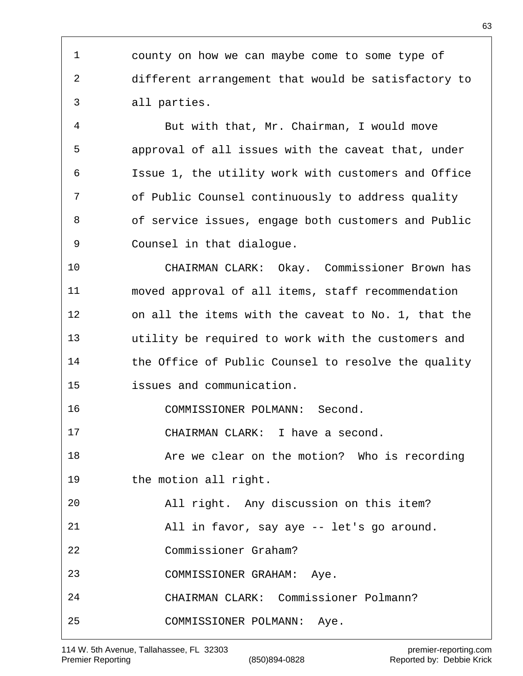county on how we can maybe come to some type of different arrangement that would be satisfactory to all parties.

 But with that, Mr. Chairman, I would move approval of all issues with the caveat that, under Issue 1, the utility work with customers and Office of Public Counsel continuously to address quality of service issues, engage both customers and Public Counsel in that dialogue.

 CHAIRMAN CLARK: Okay. Commissioner Brown has moved approval of all items, staff recommendation on all the items with the caveat to No. 1, that the utility be required to work with the customers and the Office of Public Counsel to resolve the quality issues and communication.

COMMISSIONER POLMANN: Second.

CHAIRMAN CLARK: I have a second.

 Are we clear on the motion? Who is recording the motion all right.

 All right. Any discussion on this item? All in favor, say aye -- let's go around.

Commissioner Graham?

COMMISSIONER GRAHAM: Aye.

CHAIRMAN CLARK: Commissioner Polmann?

COMMISSIONER POLMANN: Aye.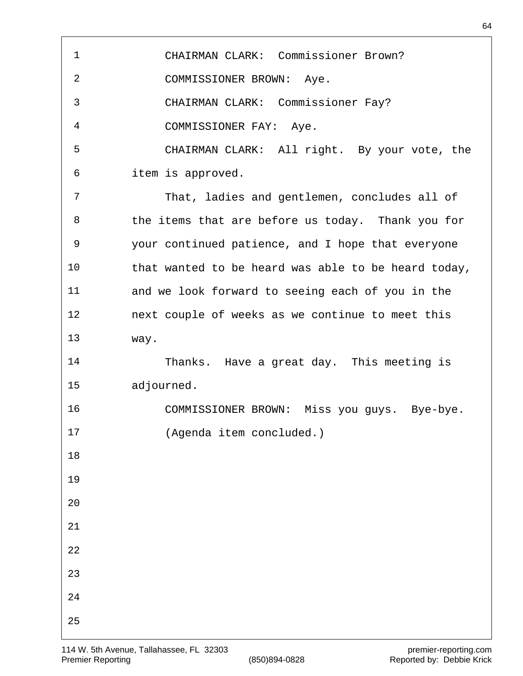| $\mathbf 1$ | CHAIRMAN CLARK: Commissioner Brown?                 |
|-------------|-----------------------------------------------------|
| 2           | COMMISSIONER BROWN: Aye.                            |
| 3           | CHAIRMAN CLARK: Commissioner Fay?                   |
| 4           | COMMISSIONER FAY: Aye.                              |
| 5           | CHAIRMAN CLARK: All right. By your vote, the        |
| 6           | item is approved.                                   |
| 7           | That, ladies and gentlemen, concludes all of        |
| 8           | the items that are before us today. Thank you for   |
| 9           | your continued patience, and I hope that everyone   |
| 10          | that wanted to be heard was able to be heard today, |
| 11          | and we look forward to seeing each of you in the    |
| 12          | next couple of weeks as we continue to meet this    |
| 13          | way.                                                |
| 14          | Thanks. Have a great day. This meeting is           |
| 15          | adjourned.                                          |
| 16          | COMMISSIONER BROWN: Miss you guys. Bye-bye.         |
| 17          | (Agenda item concluded.)                            |
| 18          |                                                     |
| 19          |                                                     |
| 20          |                                                     |
| 21          |                                                     |
| 22          |                                                     |
| 23          |                                                     |
| 24          |                                                     |
| 25          |                                                     |